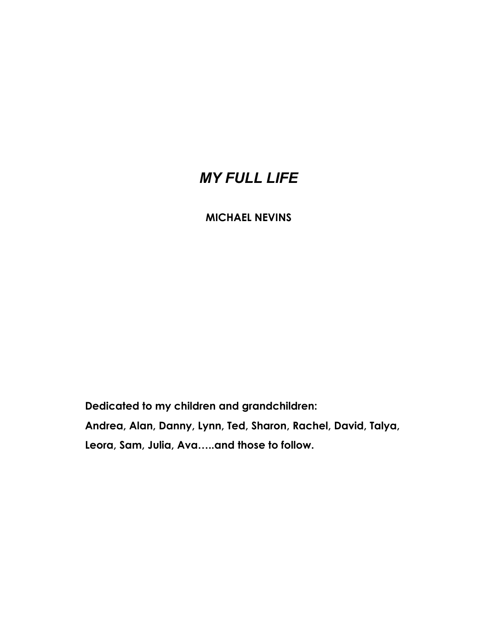# *MY FULL LIFE*

# **MICHAEL NEVINS**

 **Dedicated to my children and grandchildren:** 

 **Andrea, Alan, Danny, Lynn, Ted, Sharon, Rachel, David, Talya,** 

 **Leora, Sam, Julia, Ava…..and those to follow.**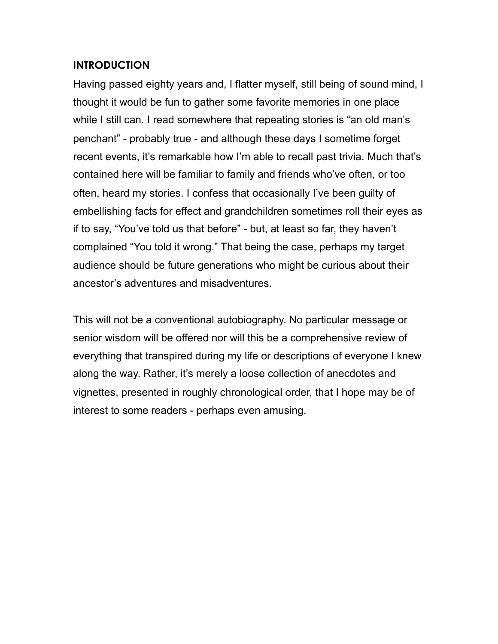## **INTRODUCTION**

Having passed eighty years and, I flatter myself, still being of sound mind, I thought it would be fun to gather some favorite memories in one place while I still can. I read somewhere that repeating stories is "an old man's penchant" - probably true - and although these days I sometime forget recent events, it's remarkable how I'm able to recall past trivia. Much that's contained here will be familiar to family and friends who've often, or too often, heard my stories. I confess that occasionally I've been guilty of embellishing facts for effect and grandchildren sometimes roll their eyes as if to say, "You've told us that before" - but, at least so far, they haven't complained "You told it wrong." That being the case, perhaps my target audience should be future generations who might be curious about their ancestor's adventures and misadventures.

This will not be a conventional autobiography. No particular message or senior wisdom will be offered nor will this be a comprehensive review of everything that transpired during my life or descriptions of everyone I knew along the way. Rather, it's merely a loose collection of anecdotes and vignettes, presented in roughly chronological order, that I hope may be of interest to some readers - perhaps even amusing.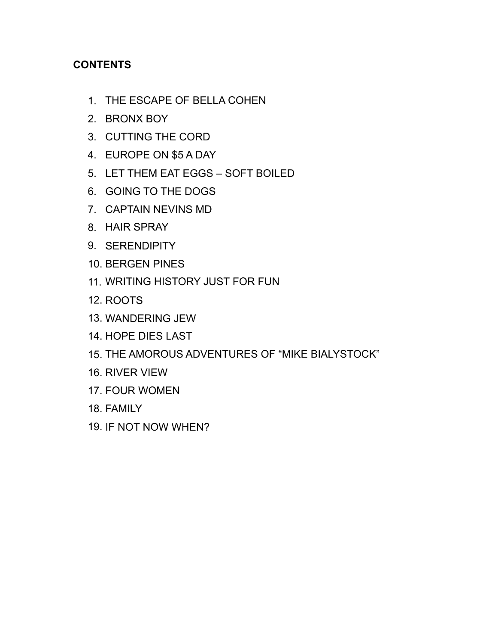# **CONTENTS**

- 1. THE ESCAPE OF BELLA COHEN
- 2. BRONX BOY
- 3. CUTTING THE CORD
- 4. EUROPE ON \$5 A DAY
- 5. LET THEM EAT EGGS SOFT BOILED
- 6. GOING TO THE DOGS
- 7. CAPTAIN NEVINS MD
- 8. HAIR SPRAY
- 9. SERENDIPITY
- 10. BERGEN PINES
- 11. WRITING HISTORY JUST FOR FUN
- 12. ROOTS
- 13. WANDERING JEW
- 14. HOPE DIES LAST
- 15. THE AMOROUS ADVENTURES OF "MIKE BIALYSTOCK"
- 16. RIVER VIEW
- 17. FOUR WOMEN
- 18. FAMILY
- 19. IF NOT NOW WHEN?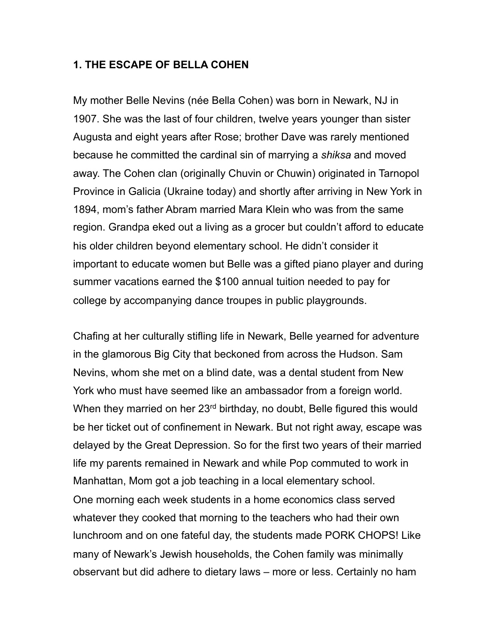#### **1. THE ESCAPE OF BELLA COHEN**

My mother Belle Nevins (née Bella Cohen) was born in Newark, NJ in 1907. She was the last of four children, twelve years younger than sister Augusta and eight years after Rose; brother Dave was rarely mentioned because he committed the cardinal sin of marrying a *shiksa* and moved away. The Cohen clan (originally Chuvin or Chuwin) originated in Tarnopol Province in Galicia (Ukraine today) and shortly after arriving in New York in 1894, mom's father Abram married Mara Klein who was from the same region. Grandpa eked out a living as a grocer but couldn't afford to educate his older children beyond elementary school. He didn't consider it important to educate women but Belle was a gifted piano player and during summer vacations earned the \$100 annual tuition needed to pay for college by accompanying dance troupes in public playgrounds.

Chafing at her culturally stifling life in Newark, Belle yearned for adventure in the glamorous Big City that beckoned from across the Hudson. Sam Nevins, whom she met on a blind date, was a dental student from New York who must have seemed like an ambassador from a foreign world. When they married on her 23<sup>rd</sup> birthday, no doubt, Belle figured this would be her ticket out of confinement in Newark. But not right away, escape was delayed by the Great Depression. So for the first two years of their married life my parents remained in Newark and while Pop commuted to work in Manhattan, Mom got a job teaching in a local elementary school. One morning each week students in a home economics class served whatever they cooked that morning to the teachers who had their own lunchroom and on one fateful day, the students made PORK CHOPS! Like many of Newark's Jewish households, the Cohen family was minimally observant but did adhere to dietary laws – more or less. Certainly no ham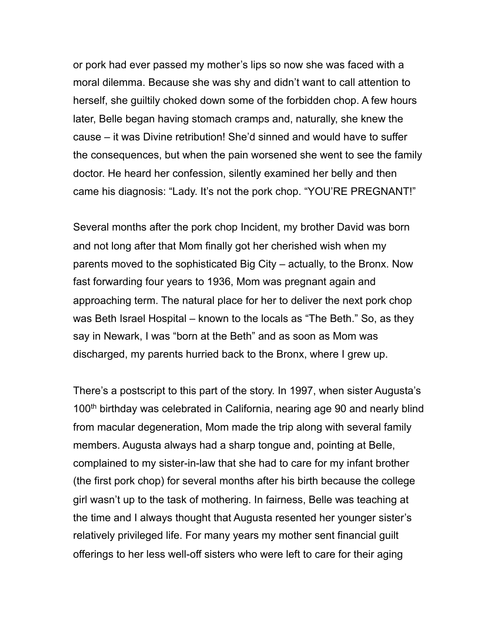or pork had ever passed my mother's lips so now she was faced with a moral dilemma. Because she was shy and didn't want to call attention to herself, she guiltily choked down some of the forbidden chop. A few hours later, Belle began having stomach cramps and, naturally, she knew the cause – it was Divine retribution! She'd sinned and would have to suffer the consequences, but when the pain worsened she went to see the family doctor. He heard her confession, silently examined her belly and then came his diagnosis: "Lady. It's not the pork chop. "YOU'RE PREGNANT!"

Several months after the pork chop Incident, my brother David was born and not long after that Mom finally got her cherished wish when my parents moved to the sophisticated Big City – actually, to the Bronx. Now fast forwarding four years to 1936, Mom was pregnant again and approaching term. The natural place for her to deliver the next pork chop was Beth Israel Hospital – known to the locals as "The Beth." So, as they say in Newark, I was "born at the Beth" and as soon as Mom was discharged, my parents hurried back to the Bronx, where I grew up.

There's a postscript to this part of the story. In 1997, when sister Augusta's 100th birthday was celebrated in California, nearing age 90 and nearly blind from macular degeneration, Mom made the trip along with several family members. Augusta always had a sharp tongue and, pointing at Belle, complained to my sister-in-law that she had to care for my infant brother (the first pork chop) for several months after his birth because the college girl wasn't up to the task of mothering. In fairness, Belle was teaching at the time and I always thought that Augusta resented her younger sister's relatively privileged life. For many years my mother sent financial guilt offerings to her less well-off sisters who were left to care for their aging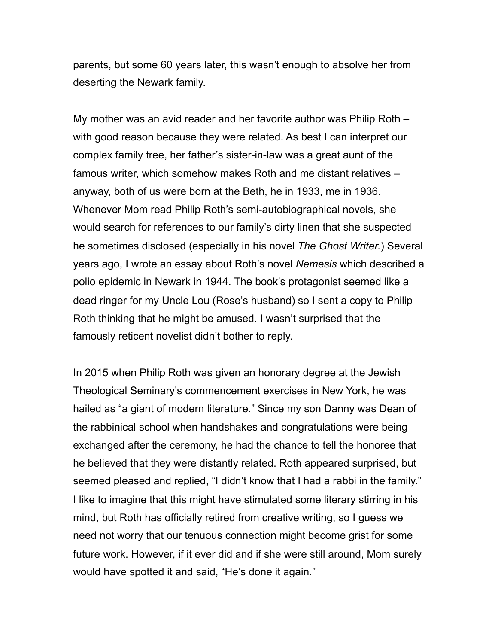parents, but some 60 years later, this wasn't enough to absolve her from deserting the Newark family.

My mother was an avid reader and her favorite author was Philip Roth – with good reason because they were related. As best I can interpret our complex family tree, her father's sister-in-law was a great aunt of the famous writer, which somehow makes Roth and me distant relatives – anyway, both of us were born at the Beth, he in 1933, me in 1936. Whenever Mom read Philip Roth's semi-autobiographical novels, she would search for references to our family's dirty linen that she suspected he sometimes disclosed (especially in his novel *The Ghost Writer.*) Several years ago, I wrote an essay about Roth's novel *Nemesis* which described a polio epidemic in Newark in 1944. The book's protagonist seemed like a dead ringer for my Uncle Lou (Rose's husband) so I sent a copy to Philip Roth thinking that he might be amused. I wasn't surprised that the famously reticent novelist didn't bother to reply.

In 2015 when Philip Roth was given an honorary degree at the Jewish Theological Seminary's commencement exercises in New York, he was hailed as "a giant of modern literature." Since my son Danny was Dean of the rabbinical school when handshakes and congratulations were being exchanged after the ceremony, he had the chance to tell the honoree that he believed that they were distantly related. Roth appeared surprised, but seemed pleased and replied, "I didn't know that I had a rabbi in the family." I like to imagine that this might have stimulated some literary stirring in his mind, but Roth has officially retired from creative writing, so I guess we need not worry that our tenuous connection might become grist for some future work. However, if it ever did and if she were still around, Mom surely would have spotted it and said, "He's done it again."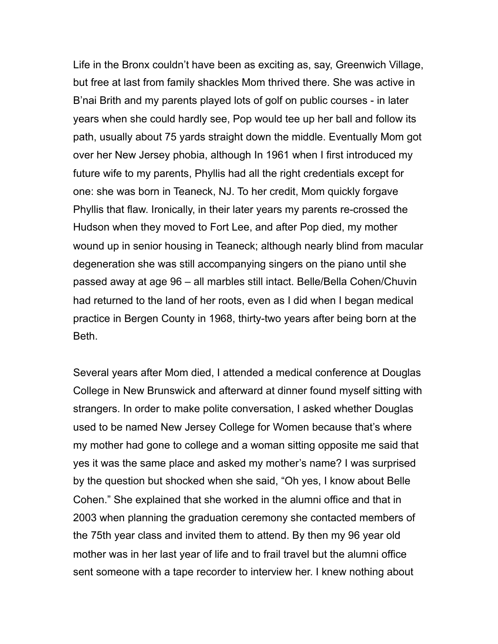Life in the Bronx couldn't have been as exciting as, say, Greenwich Village, but free at last from family shackles Mom thrived there. She was active in B'nai Brith and my parents played lots of golf on public courses - in later years when she could hardly see, Pop would tee up her ball and follow its path, usually about 75 yards straight down the middle. Eventually Mom got over her New Jersey phobia, although In 1961 when I first introduced my future wife to my parents, Phyllis had all the right credentials except for one: she was born in Teaneck, NJ. To her credit, Mom quickly forgave Phyllis that flaw. Ironically, in their later years my parents re-crossed the Hudson when they moved to Fort Lee, and after Pop died, my mother wound up in senior housing in Teaneck; although nearly blind from macular degeneration she was still accompanying singers on the piano until she passed away at age 96 – all marbles still intact. Belle/Bella Cohen/Chuvin had returned to the land of her roots, even as I did when I began medical practice in Bergen County in 1968, thirty-two years after being born at the Beth.

Several years after Mom died, I attended a medical conference at Douglas College in New Brunswick and afterward at dinner found myself sitting with strangers. In order to make polite conversation, I asked whether Douglas used to be named New Jersey College for Women because that's where my mother had gone to college and a woman sitting opposite me said that yes it was the same place and asked my mother's name? I was surprised by the question but shocked when she said, "Oh yes, I know about Belle Cohen." She explained that she worked in the alumni office and that in 2003 when planning the graduation ceremony she contacted members of the 75th year class and invited them to attend. By then my 96 year old mother was in her last year of life and to frail travel but the alumni office sent someone with a tape recorder to interview her. I knew nothing about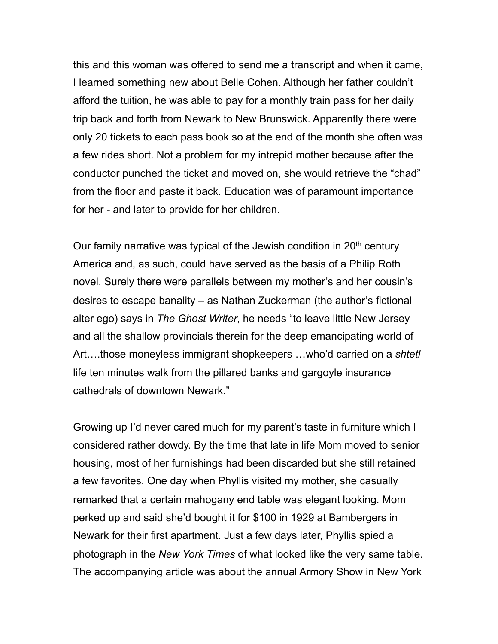this and this woman was offered to send me a transcript and when it came, I learned something new about Belle Cohen. Although her father couldn't afford the tuition, he was able to pay for a monthly train pass for her daily trip back and forth from Newark to New Brunswick. Apparently there were only 20 tickets to each pass book so at the end of the month she often was a few rides short. Not a problem for my intrepid mother because after the conductor punched the ticket and moved on, she would retrieve the "chad" from the floor and paste it back. Education was of paramount importance for her - and later to provide for her children.

Our family narrative was typical of the Jewish condition in 20<sup>th</sup> century America and, as such, could have served as the basis of a Philip Roth novel. Surely there were parallels between my mother's and her cousin's desires to escape banality – as Nathan Zuckerman (the author's fictional alter ego) says in *The Ghost Writer*, he needs "to leave little New Jersey and all the shallow provincials therein for the deep emancipating world of Art….those moneyless immigrant shopkeepers …who'd carried on a *shtetl*  life ten minutes walk from the pillared banks and gargoyle insurance cathedrals of downtown Newark."

Growing up I'd never cared much for my parent's taste in furniture which I considered rather dowdy. By the time that late in life Mom moved to senior housing, most of her furnishings had been discarded but she still retained a few favorites. One day when Phyllis visited my mother, she casually remarked that a certain mahogany end table was elegant looking. Mom perked up and said she'd bought it for \$100 in 1929 at Bambergers in Newark for their first apartment. Just a few days later, Phyllis spied a photograph in the *New York Times* of what looked like the very same table. The accompanying article was about the annual Armory Show in New York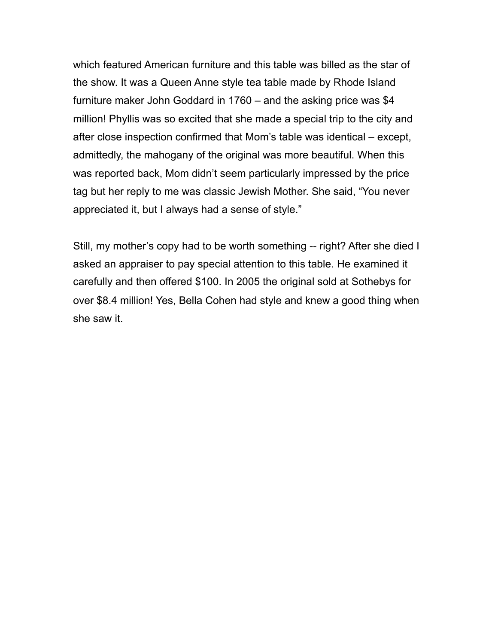which featured American furniture and this table was billed as the star of the show. It was a Queen Anne style tea table made by Rhode Island furniture maker John Goddard in 1760 – and the asking price was \$4 million! Phyllis was so excited that she made a special trip to the city and after close inspection confirmed that Mom's table was identical – except, admittedly, the mahogany of the original was more beautiful. When this was reported back, Mom didn't seem particularly impressed by the price tag but her reply to me was classic Jewish Mother. She said, "You never appreciated it, but I always had a sense of style."

Still, my mother's copy had to be worth something -- right? After she died I asked an appraiser to pay special attention to this table. He examined it carefully and then offered \$100. In 2005 the original sold at Sothebys for over \$8.4 million! Yes, Bella Cohen had style and knew a good thing when she saw it.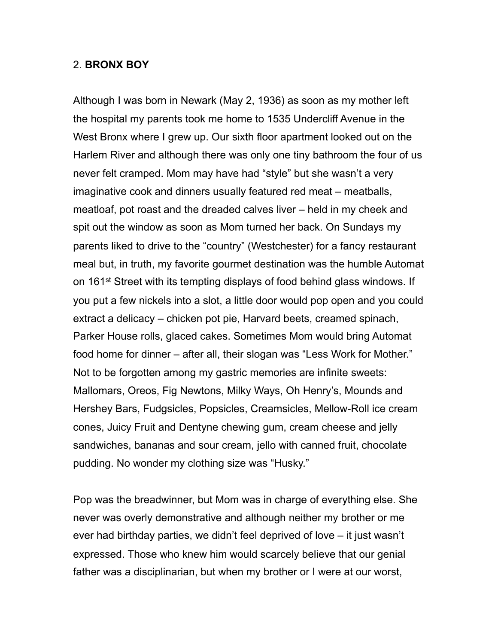#### 2. **BRONX BOY**

Although I was born in Newark (May 2, 1936) as soon as my mother left the hospital my parents took me home to 1535 Undercliff Avenue in the West Bronx where I grew up. Our sixth floor apartment looked out on the Harlem River and although there was only one tiny bathroom the four of us never felt cramped. Mom may have had "style" but she wasn't a very imaginative cook and dinners usually featured red meat – meatballs, meatloaf, pot roast and the dreaded calves liver – held in my cheek and spit out the window as soon as Mom turned her back. On Sundays my parents liked to drive to the "country" (Westchester) for a fancy restaurant meal but, in truth, my favorite gourmet destination was the humble Automat on 161<sup>st</sup> Street with its tempting displays of food behind glass windows. If you put a few nickels into a slot, a little door would pop open and you could extract a delicacy – chicken pot pie, Harvard beets, creamed spinach, Parker House rolls, glaced cakes. Sometimes Mom would bring Automat food home for dinner – after all, their slogan was "Less Work for Mother." Not to be forgotten among my gastric memories are infinite sweets: Mallomars, Oreos, Fig Newtons, Milky Ways, Oh Henry's, Mounds and Hershey Bars, Fudgsicles, Popsicles, Creamsicles, Mellow-Roll ice cream cones, Juicy Fruit and Dentyne chewing gum, cream cheese and jelly sandwiches, bananas and sour cream, jello with canned fruit, chocolate pudding. No wonder my clothing size was "Husky."

Pop was the breadwinner, but Mom was in charge of everything else. She never was overly demonstrative and although neither my brother or me ever had birthday parties, we didn't feel deprived of love – it just wasn't expressed. Those who knew him would scarcely believe that our genial father was a disciplinarian, but when my brother or I were at our worst,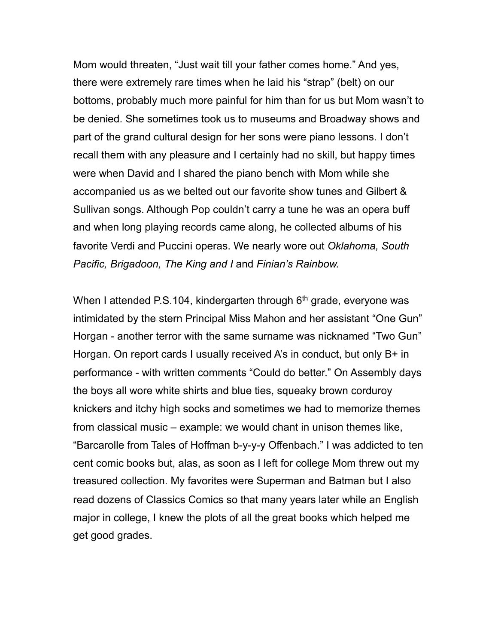Mom would threaten, "Just wait till your father comes home." And yes, there were extremely rare times when he laid his "strap" (belt) on our bottoms, probably much more painful for him than for us but Mom wasn't to be denied. She sometimes took us to museums and Broadway shows and part of the grand cultural design for her sons were piano lessons. I don't recall them with any pleasure and I certainly had no skill, but happy times were when David and I shared the piano bench with Mom while she accompanied us as we belted out our favorite show tunes and Gilbert & Sullivan songs. Although Pop couldn't carry a tune he was an opera buff and when long playing records came along, he collected albums of his favorite Verdi and Puccini operas. We nearly wore out *Oklahoma, South Pacific, Brigadoon, The King and I* and *Finian's Rainbow.*

When I attended P.S.104, kindergarten through  $6<sup>th</sup>$  grade, everyone was intimidated by the stern Principal Miss Mahon and her assistant "One Gun" Horgan - another terror with the same surname was nicknamed "Two Gun" Horgan. On report cards I usually received A's in conduct, but only B+ in performance - with written comments "Could do better." On Assembly days the boys all wore white shirts and blue ties, squeaky brown corduroy knickers and itchy high socks and sometimes we had to memorize themes from classical music – example: we would chant in unison themes like, "Barcarolle from Tales of Hoffman b-y-y-y Offenbach." I was addicted to ten cent comic books but, alas, as soon as I left for college Mom threw out my treasured collection. My favorites were Superman and Batman but I also read dozens of Classics Comics so that many years later while an English major in college, I knew the plots of all the great books which helped me get good grades.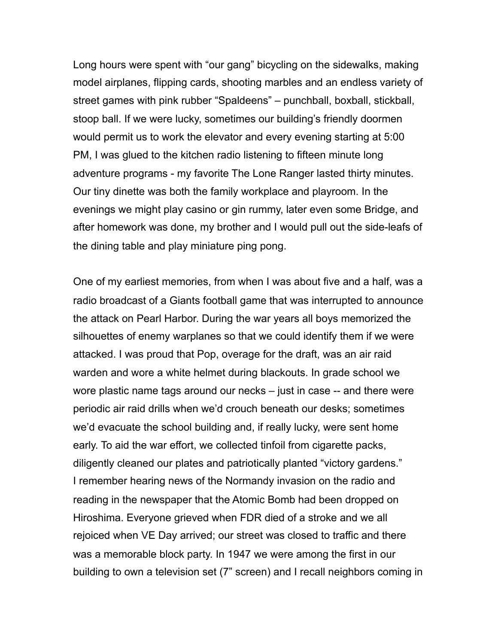Long hours were spent with "our gang" bicycling on the sidewalks, making model airplanes, flipping cards, shooting marbles and an endless variety of street games with pink rubber "Spaldeens" – punchball, boxball, stickball, stoop ball. If we were lucky, sometimes our building's friendly doormen would permit us to work the elevator and every evening starting at 5:00 PM, I was glued to the kitchen radio listening to fifteen minute long adventure programs - my favorite The Lone Ranger lasted thirty minutes. Our tiny dinette was both the family workplace and playroom. In the evenings we might play casino or gin rummy, later even some Bridge, and after homework was done, my brother and I would pull out the side-leafs of the dining table and play miniature ping pong.

One of my earliest memories, from when I was about five and a half, was a radio broadcast of a Giants football game that was interrupted to announce the attack on Pearl Harbor. During the war years all boys memorized the silhouettes of enemy warplanes so that we could identify them if we were attacked. I was proud that Pop, overage for the draft, was an air raid warden and wore a white helmet during blackouts. In grade school we wore plastic name tags around our necks – just in case -- and there were periodic air raid drills when we'd crouch beneath our desks; sometimes we'd evacuate the school building and, if really lucky, were sent home early. To aid the war effort, we collected tinfoil from cigarette packs, diligently cleaned our plates and patriotically planted "victory gardens." I remember hearing news of the Normandy invasion on the radio and reading in the newspaper that the Atomic Bomb had been dropped on Hiroshima. Everyone grieved when FDR died of a stroke and we all rejoiced when VE Day arrived; our street was closed to traffic and there was a memorable block party. In 1947 we were among the first in our building to own a television set (7" screen) and I recall neighbors coming in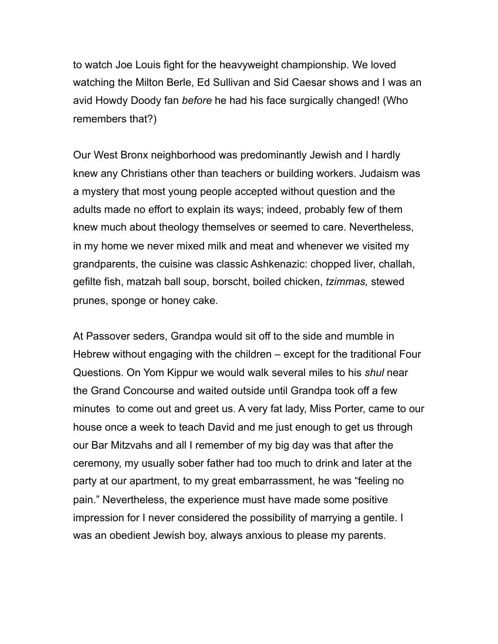to watch Joe Louis fight for the heavyweight championship. We loved watching the Milton Berle, Ed Sullivan and Sid Caesar shows and I was an avid Howdy Doody fan *before* he had his face surgically changed! (Who remembers that?)

Our West Bronx neighborhood was predominantly Jewish and I hardly knew any Christians other than teachers or building workers. Judaism was a mystery that most young people accepted without question and the adults made no effort to explain its ways; indeed, probably few of them knew much about theology themselves or seemed to care. Nevertheless, in my home we never mixed milk and meat and whenever we visited my grandparents, the cuisine was classic Ashkenazic: chopped liver, challah, gefilte fish, matzah ball soup, borscht, boiled chicken, *tzimmas,* stewed prunes, sponge or honey cake.

At Passover seders, Grandpa would sit off to the side and mumble in Hebrew without engaging with the children – except for the traditional Four Questions. On Yom Kippur we would walk several miles to his *shul* near the Grand Concourse and waited outside until Grandpa took off a few minutes to come out and greet us. A very fat lady, Miss Porter, came to our house once a week to teach David and me just enough to get us through our Bar Mitzvahs and all I remember of my big day was that after the ceremony, my usually sober father had too much to drink and later at the party at our apartment, to my great embarrassment, he was "feeling no pain." Nevertheless, the experience must have made some positive impression for I never considered the possibility of marrying a gentile. I was an obedient Jewish boy, always anxious to please my parents.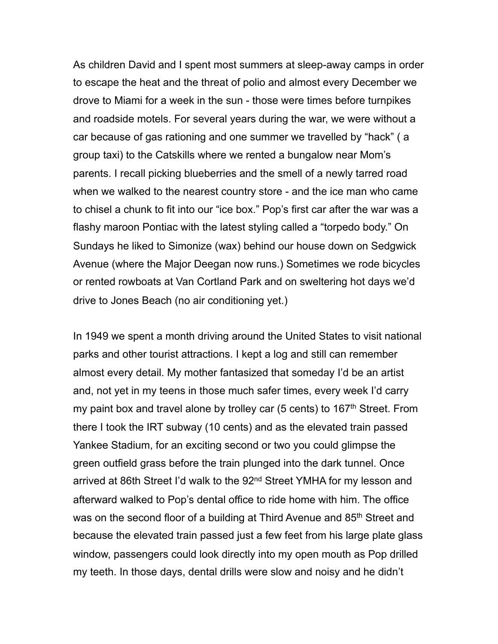As children David and I spent most summers at sleep-away camps in order to escape the heat and the threat of polio and almost every December we drove to Miami for a week in the sun - those were times before turnpikes and roadside motels. For several years during the war, we were without a car because of gas rationing and one summer we travelled by "hack" ( a group taxi) to the Catskills where we rented a bungalow near Mom's parents. I recall picking blueberries and the smell of a newly tarred road when we walked to the nearest country store - and the ice man who came to chisel a chunk to fit into our "ice box." Pop's first car after the war was a flashy maroon Pontiac with the latest styling called a "torpedo body." On Sundays he liked to Simonize (wax) behind our house down on Sedgwick Avenue (where the Major Deegan now runs.) Sometimes we rode bicycles or rented rowboats at Van Cortland Park and on sweltering hot days we'd drive to Jones Beach (no air conditioning yet.)

In 1949 we spent a month driving around the United States to visit national parks and other tourist attractions. I kept a log and still can remember almost every detail. My mother fantasized that someday I'd be an artist and, not yet in my teens in those much safer times, every week I'd carry my paint box and travel alone by trolley car  $(5 \text{ cents})$  to  $167$ <sup>th</sup> Street. From there I took the IRT subway (10 cents) and as the elevated train passed Yankee Stadium, for an exciting second or two you could glimpse the green outfield grass before the train plunged into the dark tunnel. Once arrived at 86th Street I'd walk to the 92<sup>nd</sup> Street YMHA for my lesson and afterward walked to Pop's dental office to ride home with him. The office was on the second floor of a building at Third Avenue and 85<sup>th</sup> Street and because the elevated train passed just a few feet from his large plate glass window, passengers could look directly into my open mouth as Pop drilled my teeth. In those days, dental drills were slow and noisy and he didn't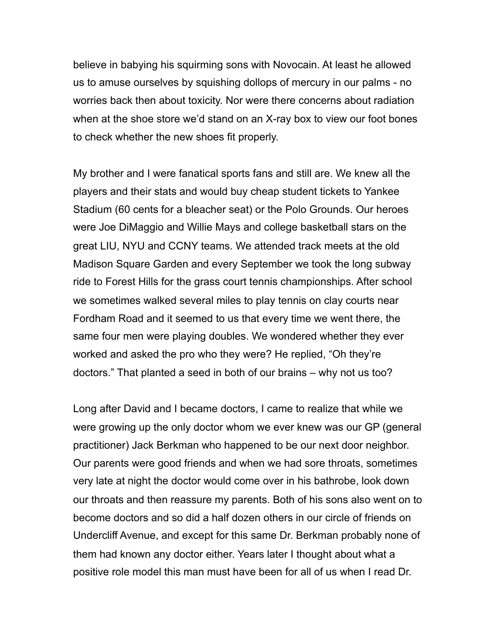believe in babying his squirming sons with Novocain. At least he allowed us to amuse ourselves by squishing dollops of mercury in our palms - no worries back then about toxicity. Nor were there concerns about radiation when at the shoe store we'd stand on an X-ray box to view our foot bones to check whether the new shoes fit properly.

My brother and I were fanatical sports fans and still are. We knew all the players and their stats and would buy cheap student tickets to Yankee Stadium (60 cents for a bleacher seat) or the Polo Grounds. Our heroes were Joe DiMaggio and Willie Mays and college basketball stars on the great LIU, NYU and CCNY teams. We attended track meets at the old Madison Square Garden and every September we took the long subway ride to Forest Hills for the grass court tennis championships. After school we sometimes walked several miles to play tennis on clay courts near Fordham Road and it seemed to us that every time we went there, the same four men were playing doubles. We wondered whether they ever worked and asked the pro who they were? He replied, "Oh they're doctors." That planted a seed in both of our brains – why not us too?

Long after David and I became doctors, I came to realize that while we were growing up the only doctor whom we ever knew was our GP (general practitioner) Jack Berkman who happened to be our next door neighbor. Our parents were good friends and when we had sore throats, sometimes very late at night the doctor would come over in his bathrobe, look down our throats and then reassure my parents. Both of his sons also went on to become doctors and so did a half dozen others in our circle of friends on Undercliff Avenue, and except for this same Dr. Berkman probably none of them had known any doctor either. Years later I thought about what a positive role model this man must have been for all of us when I read Dr.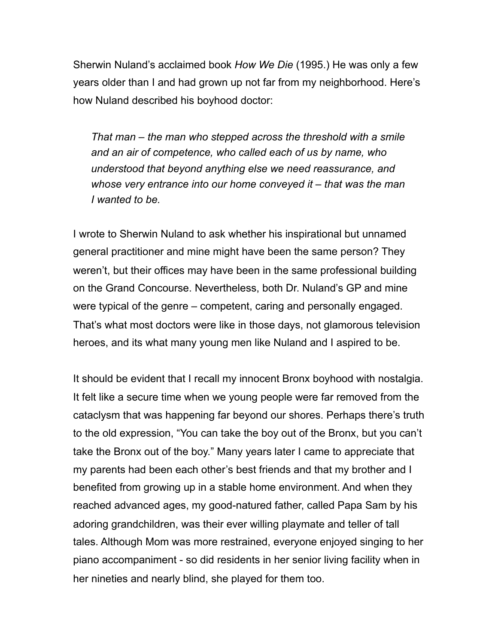Sherwin Nuland's acclaimed book *How We Die* (1995.) He was only a few years older than I and had grown up not far from my neighborhood. Here's how Nuland described his boyhood doctor:

*That man – the man who stepped across the threshold with a smile and an air of competence, who called each of us by name, who understood that beyond anything else we need reassurance, and whose very entrance into our home conveyed it – that was the man I wanted to be.*

I wrote to Sherwin Nuland to ask whether his inspirational but unnamed general practitioner and mine might have been the same person? They weren't, but their offices may have been in the same professional building on the Grand Concourse. Nevertheless, both Dr. Nuland's GP and mine were typical of the genre – competent, caring and personally engaged. That's what most doctors were like in those days, not glamorous television heroes, and its what many young men like Nuland and I aspired to be.

It should be evident that I recall my innocent Bronx boyhood with nostalgia. It felt like a secure time when we young people were far removed from the cataclysm that was happening far beyond our shores. Perhaps there's truth to the old expression, "You can take the boy out of the Bronx, but you can't take the Bronx out of the boy." Many years later I came to appreciate that my parents had been each other's best friends and that my brother and I benefited from growing up in a stable home environment. And when they reached advanced ages, my good-natured father, called Papa Sam by his adoring grandchildren, was their ever willing playmate and teller of tall tales. Although Mom was more restrained, everyone enjoyed singing to her piano accompaniment - so did residents in her senior living facility when in her nineties and nearly blind, she played for them too.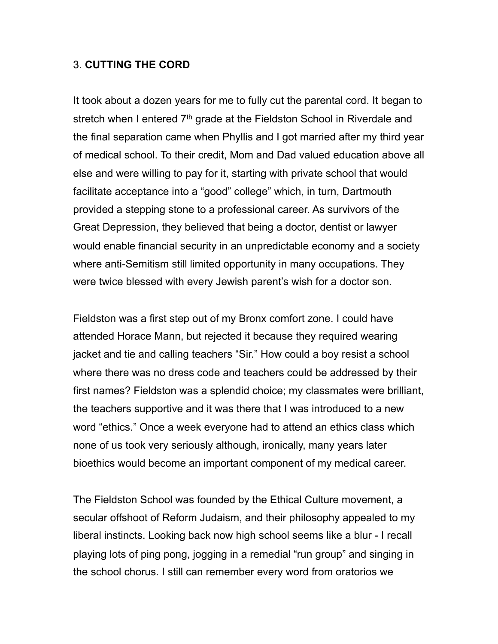#### 3. **CUTTING THE CORD**

It took about a dozen years for me to fully cut the parental cord. It began to stretch when I entered  $7<sup>th</sup>$  grade at the Fieldston School in Riverdale and the final separation came when Phyllis and I got married after my third year of medical school. To their credit, Mom and Dad valued education above all else and were willing to pay for it, starting with private school that would facilitate acceptance into a "good" college" which, in turn, Dartmouth provided a stepping stone to a professional career. As survivors of the Great Depression, they believed that being a doctor, dentist or lawyer would enable financial security in an unpredictable economy and a society where anti-Semitism still limited opportunity in many occupations. They were twice blessed with every Jewish parent's wish for a doctor son.

Fieldston was a first step out of my Bronx comfort zone. I could have attended Horace Mann, but rejected it because they required wearing jacket and tie and calling teachers "Sir." How could a boy resist a school where there was no dress code and teachers could be addressed by their first names? Fieldston was a splendid choice; my classmates were brilliant, the teachers supportive and it was there that I was introduced to a new word "ethics." Once a week everyone had to attend an ethics class which none of us took very seriously although, ironically, many years later bioethics would become an important component of my medical career.

The Fieldston School was founded by the Ethical Culture movement, a secular offshoot of Reform Judaism, and their philosophy appealed to my liberal instincts. Looking back now high school seems like a blur - I recall playing lots of ping pong, jogging in a remedial "run group" and singing in the school chorus. I still can remember every word from oratorios we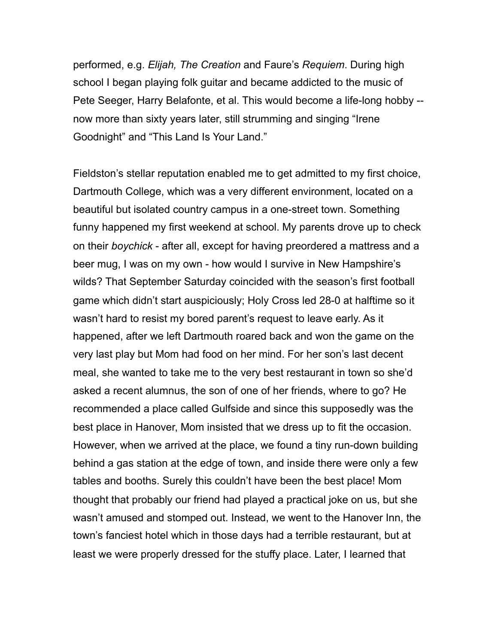performed, e.g. *Elijah, The Creation* and Faure's *Requiem*. During high school I began playing folk guitar and became addicted to the music of Pete Seeger, Harry Belafonte, et al. This would become a life-long hobby - now more than sixty years later, still strumming and singing "Irene Goodnight" and "This Land Is Your Land."

Fieldston's stellar reputation enabled me to get admitted to my first choice, Dartmouth College, which was a very different environment, located on a beautiful but isolated country campus in a one-street town. Something funny happened my first weekend at school. My parents drove up to check on their *boychick* - after all, except for having preordered a mattress and a beer mug, I was on my own - how would I survive in New Hampshire's wilds? That September Saturday coincided with the season's first football game which didn't start auspiciously; Holy Cross led 28-0 at halftime so it wasn't hard to resist my bored parent's request to leave early. As it happened, after we left Dartmouth roared back and won the game on the very last play but Mom had food on her mind. For her son's last decent meal, she wanted to take me to the very best restaurant in town so she'd asked a recent alumnus, the son of one of her friends, where to go? He recommended a place called Gulfside and since this supposedly was the best place in Hanover, Mom insisted that we dress up to fit the occasion. However, when we arrived at the place, we found a tiny run-down building behind a gas station at the edge of town, and inside there were only a few tables and booths. Surely this couldn't have been the best place! Mom thought that probably our friend had played a practical joke on us, but she wasn't amused and stomped out. Instead, we went to the Hanover Inn, the town's fanciest hotel which in those days had a terrible restaurant, but at least we were properly dressed for the stuffy place. Later, I learned that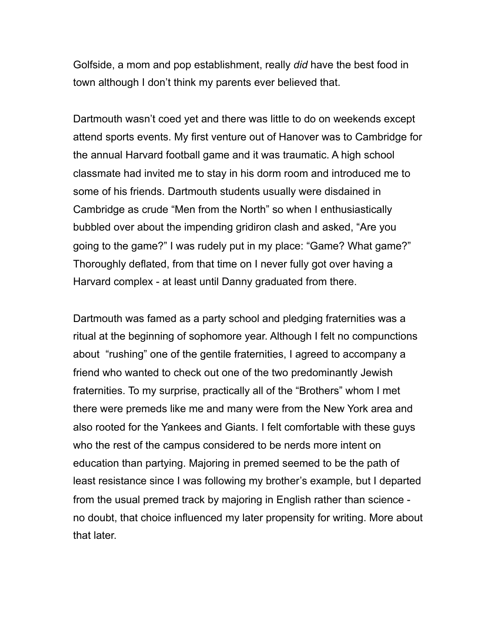Golfside, a mom and pop establishment, really *did* have the best food in town although I don't think my parents ever believed that.

Dartmouth wasn't coed yet and there was little to do on weekends except attend sports events. My first venture out of Hanover was to Cambridge for the annual Harvard football game and it was traumatic. A high school classmate had invited me to stay in his dorm room and introduced me to some of his friends. Dartmouth students usually were disdained in Cambridge as crude "Men from the North" so when I enthusiastically bubbled over about the impending gridiron clash and asked, "Are you going to the game?" I was rudely put in my place: "Game? What game?" Thoroughly deflated, from that time on I never fully got over having a Harvard complex - at least until Danny graduated from there.

Dartmouth was famed as a party school and pledging fraternities was a ritual at the beginning of sophomore year. Although I felt no compunctions about "rushing" one of the gentile fraternities, I agreed to accompany a friend who wanted to check out one of the two predominantly Jewish fraternities. To my surprise, practically all of the "Brothers" whom I met there were premeds like me and many were from the New York area and also rooted for the Yankees and Giants. I felt comfortable with these guys who the rest of the campus considered to be nerds more intent on education than partying. Majoring in premed seemed to be the path of least resistance since I was following my brother's example, but I departed from the usual premed track by majoring in English rather than science no doubt, that choice influenced my later propensity for writing. More about that later.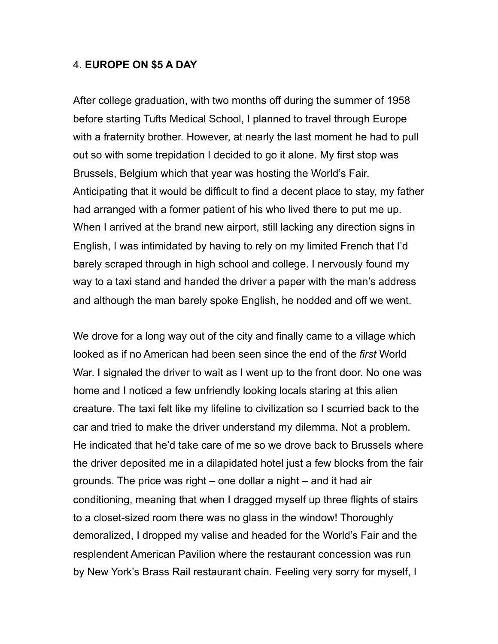#### 4. **EUROPE ON \$5 A DAY**

After college graduation, with two months off during the summer of 1958 before starting Tufts Medical School, I planned to travel through Europe with a fraternity brother. However, at nearly the last moment he had to pull out so with some trepidation I decided to go it alone. My first stop was Brussels, Belgium which that year was hosting the World's Fair. Anticipating that it would be difficult to find a decent place to stay, my father had arranged with a former patient of his who lived there to put me up. When I arrived at the brand new airport, still lacking any direction signs in English, I was intimidated by having to rely on my limited French that I'd barely scraped through in high school and college. I nervously found my way to a taxi stand and handed the driver a paper with the man's address and although the man barely spoke English, he nodded and off we went.

We drove for a long way out of the city and finally came to a village which looked as if no American had been seen since the end of the *first* World War. I signaled the driver to wait as I went up to the front door. No one was home and I noticed a few unfriendly looking locals staring at this alien creature. The taxi felt like my lifeline to civilization so I scurried back to the car and tried to make the driver understand my dilemma. Not a problem. He indicated that he'd take care of me so we drove back to Brussels where the driver deposited me in a dilapidated hotel just a few blocks from the fair grounds. The price was right – one dollar a night – and it had air conditioning, meaning that when I dragged myself up three flights of stairs to a closet-sized room there was no glass in the window! Thoroughly demoralized, I dropped my valise and headed for the World's Fair and the resplendent American Pavilion where the restaurant concession was run by New York's Brass Rail restaurant chain. Feeling very sorry for myself, I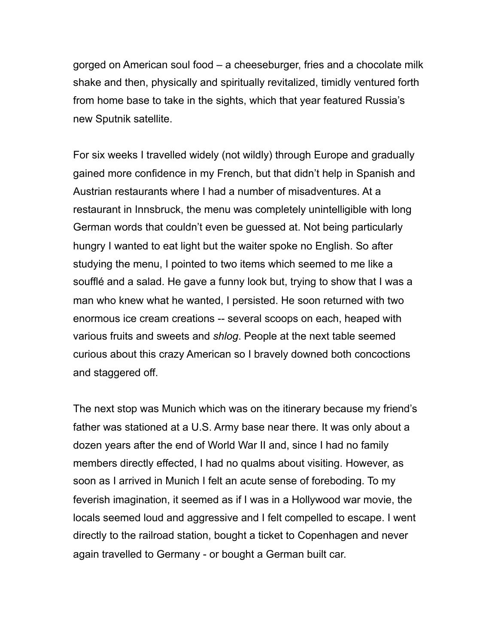gorged on American soul food – a cheeseburger, fries and a chocolate milk shake and then, physically and spiritually revitalized, timidly ventured forth from home base to take in the sights, which that year featured Russia's new Sputnik satellite.

For six weeks I travelled widely (not wildly) through Europe and gradually gained more confidence in my French, but that didn't help in Spanish and Austrian restaurants where I had a number of misadventures. At a restaurant in Innsbruck, the menu was completely unintelligible with long German words that couldn't even be guessed at. Not being particularly hungry I wanted to eat light but the waiter spoke no English. So after studying the menu, I pointed to two items which seemed to me like a soufflé and a salad. He gave a funny look but, trying to show that I was a man who knew what he wanted, I persisted. He soon returned with two enormous ice cream creations -- several scoops on each, heaped with various fruits and sweets and *shlog*. People at the next table seemed curious about this crazy American so I bravely downed both concoctions and staggered off.

The next stop was Munich which was on the itinerary because my friend's father was stationed at a U.S. Army base near there. It was only about a dozen years after the end of World War II and, since I had no family members directly effected, I had no qualms about visiting. However, as soon as I arrived in Munich I felt an acute sense of foreboding. To my feverish imagination, it seemed as if I was in a Hollywood war movie, the locals seemed loud and aggressive and I felt compelled to escape. I went directly to the railroad station, bought a ticket to Copenhagen and never again travelled to Germany - or bought a German built car.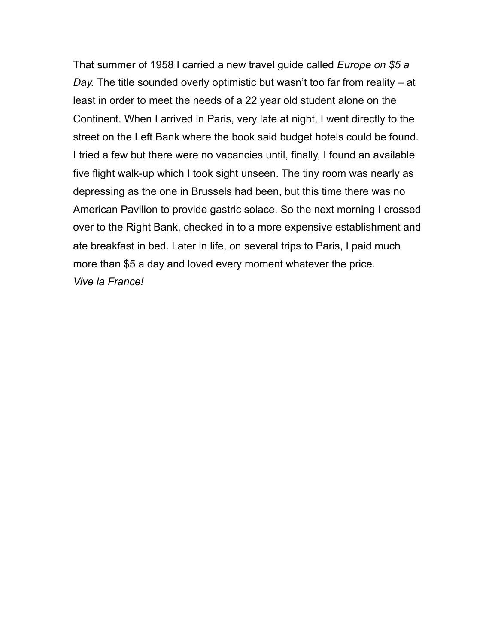That summer of 1958 I carried a new travel guide called *Europe on \$5 a Day.* The title sounded overly optimistic but wasn't too far from reality – at least in order to meet the needs of a 22 year old student alone on the Continent. When I arrived in Paris, very late at night, I went directly to the street on the Left Bank where the book said budget hotels could be found. I tried a few but there were no vacancies until, finally, I found an available five flight walk-up which I took sight unseen. The tiny room was nearly as depressing as the one in Brussels had been, but this time there was no American Pavilion to provide gastric solace. So the next morning I crossed over to the Right Bank, checked in to a more expensive establishment and ate breakfast in bed. Later in life, on several trips to Paris, I paid much more than \$5 a day and loved every moment whatever the price. *Vive la France!*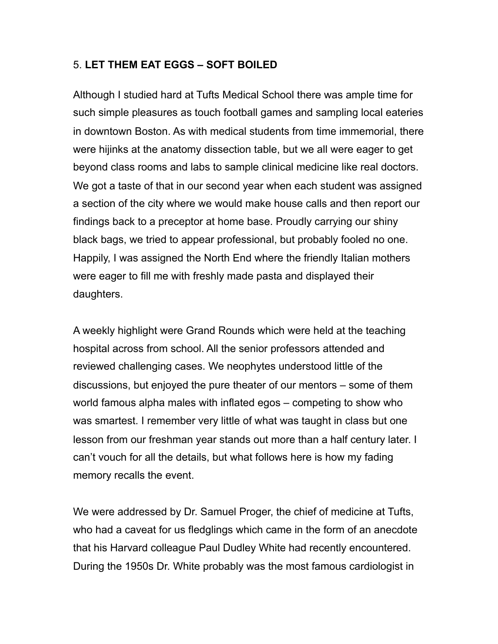# 5. **LET THEM EAT EGGS – SOFT BOILED**

Although I studied hard at Tufts Medical School there was ample time for such simple pleasures as touch football games and sampling local eateries in downtown Boston. As with medical students from time immemorial, there were hijinks at the anatomy dissection table, but we all were eager to get beyond class rooms and labs to sample clinical medicine like real doctors. We got a taste of that in our second year when each student was assigned a section of the city where we would make house calls and then report our findings back to a preceptor at home base. Proudly carrying our shiny black bags, we tried to appear professional, but probably fooled no one. Happily, I was assigned the North End where the friendly Italian mothers were eager to fill me with freshly made pasta and displayed their daughters.

A weekly highlight were Grand Rounds which were held at the teaching hospital across from school. All the senior professors attended and reviewed challenging cases. We neophytes understood little of the discussions, but enjoyed the pure theater of our mentors – some of them world famous alpha males with inflated egos – competing to show who was smartest. I remember very little of what was taught in class but one lesson from our freshman year stands out more than a half century later. I can't vouch for all the details, but what follows here is how my fading memory recalls the event.

We were addressed by Dr. Samuel Proger, the chief of medicine at Tufts, who had a caveat for us fledglings which came in the form of an anecdote that his Harvard colleague Paul Dudley White had recently encountered. During the 1950s Dr. White probably was the most famous cardiologist in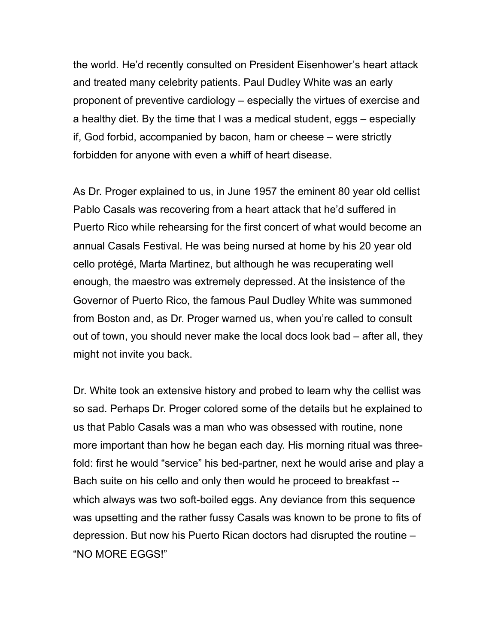the world. He'd recently consulted on President Eisenhower's heart attack and treated many celebrity patients. Paul Dudley White was an early proponent of preventive cardiology – especially the virtues of exercise and a healthy diet. By the time that I was a medical student, eggs – especially if, God forbid, accompanied by bacon, ham or cheese – were strictly forbidden for anyone with even a whiff of heart disease.

As Dr. Proger explained to us, in June 1957 the eminent 80 year old cellist Pablo Casals was recovering from a heart attack that he'd suffered in Puerto Rico while rehearsing for the first concert of what would become an annual Casals Festival. He was being nursed at home by his 20 year old cello protégé, Marta Martinez, but although he was recuperating well enough, the maestro was extremely depressed. At the insistence of the Governor of Puerto Rico, the famous Paul Dudley White was summoned from Boston and, as Dr. Proger warned us, when you're called to consult out of town, you should never make the local docs look bad – after all, they might not invite you back.

Dr. White took an extensive history and probed to learn why the cellist was so sad. Perhaps Dr. Proger colored some of the details but he explained to us that Pablo Casals was a man who was obsessed with routine, none more important than how he began each day. His morning ritual was threefold: first he would "service" his bed-partner, next he would arise and play a Bach suite on his cello and only then would he proceed to breakfast - which always was two soft-boiled eggs. Any deviance from this sequence was upsetting and the rather fussy Casals was known to be prone to fits of depression. But now his Puerto Rican doctors had disrupted the routine – "NO MORE EGGS!"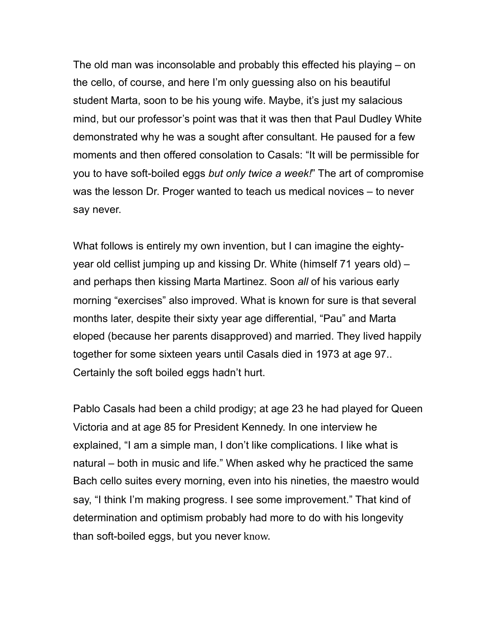The old man was inconsolable and probably this effected his playing – on the cello, of course, and here I'm only guessing also on his beautiful student Marta, soon to be his young wife. Maybe, it's just my salacious mind, but our professor's point was that it was then that Paul Dudley White demonstrated why he was a sought after consultant. He paused for a few moments and then offered consolation to Casals: "It will be permissible for you to have soft-boiled eggs *but only twice a week!*" The art of compromise was the lesson Dr. Proger wanted to teach us medical novices – to never say never.

What follows is entirely my own invention, but I can imagine the eightyyear old cellist jumping up and kissing Dr. White (himself 71 years old) – and perhaps then kissing Marta Martinez. Soon *all* of his various early morning "exercises" also improved. What is known for sure is that several months later, despite their sixty year age differential, "Pau" and Marta eloped (because her parents disapproved) and married. They lived happily together for some sixteen years until Casals died in 1973 at age 97.. Certainly the soft boiled eggs hadn't hurt.

Pablo Casals had been a child prodigy; at age 23 he had played for Queen Victoria and at age 85 for President Kennedy. In one interview he explained, "I am a simple man, I don't like complications. I like what is natural – both in music and life." When asked why he practiced the same Bach cello suites every morning, even into his nineties, the maestro would say, "I think I'm making progress. I see some improvement." That kind of determination and optimism probably had more to do with his longevity than soft-boiled eggs, but you never know.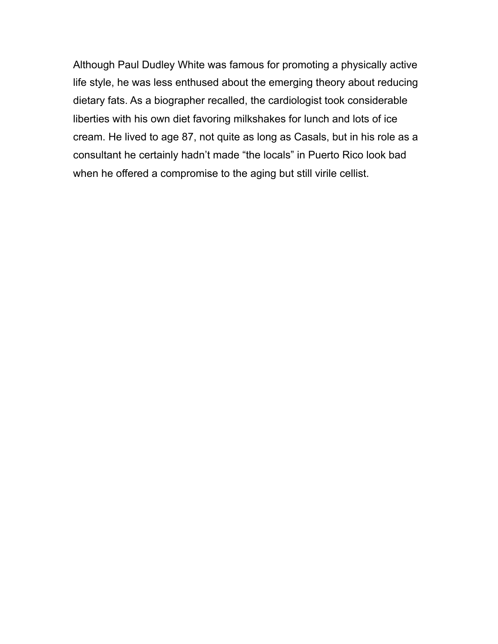Although Paul Dudley White was famous for promoting a physically active life style, he was less enthused about the emerging theory about reducing dietary fats. As a biographer recalled, the cardiologist took considerable liberties with his own diet favoring milkshakes for lunch and lots of ice cream. He lived to age 87, not quite as long as Casals, but in his role as a consultant he certainly hadn't made "the locals" in Puerto Rico look bad when he offered a compromise to the aging but still virile cellist.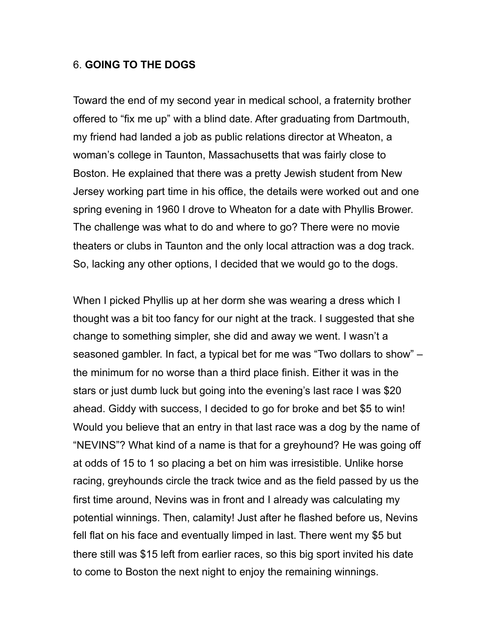#### 6. **GOING TO THE DOGS**

Toward the end of my second year in medical school, a fraternity brother offered to "fix me up" with a blind date. After graduating from Dartmouth, my friend had landed a job as public relations director at Wheaton, a woman's college in Taunton, Massachusetts that was fairly close to Boston. He explained that there was a pretty Jewish student from New Jersey working part time in his office, the details were worked out and one spring evening in 1960 I drove to Wheaton for a date with Phyllis Brower. The challenge was what to do and where to go? There were no movie theaters or clubs in Taunton and the only local attraction was a dog track. So, lacking any other options, I decided that we would go to the dogs.

When I picked Phyllis up at her dorm she was wearing a dress which I thought was a bit too fancy for our night at the track. I suggested that she change to something simpler, she did and away we went. I wasn't a seasoned gambler. In fact, a typical bet for me was "Two dollars to show" – the minimum for no worse than a third place finish. Either it was in the stars or just dumb luck but going into the evening's last race I was \$20 ahead. Giddy with success, I decided to go for broke and bet \$5 to win! Would you believe that an entry in that last race was a dog by the name of "NEVINS"? What kind of a name is that for a greyhound? He was going off at odds of 15 to 1 so placing a bet on him was irresistible. Unlike horse racing, greyhounds circle the track twice and as the field passed by us the first time around, Nevins was in front and I already was calculating my potential winnings. Then, calamity! Just after he flashed before us, Nevins fell flat on his face and eventually limped in last. There went my \$5 but there still was \$15 left from earlier races, so this big sport invited his date to come to Boston the next night to enjoy the remaining winnings.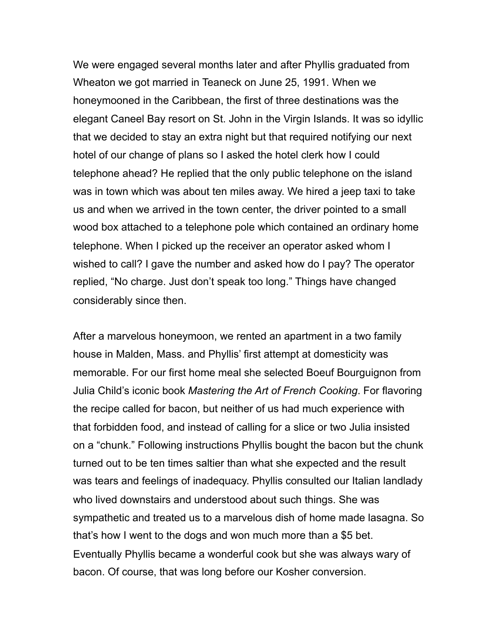We were engaged several months later and after Phyllis graduated from Wheaton we got married in Teaneck on June 25, 1991. When we honeymooned in the Caribbean, the first of three destinations was the elegant Caneel Bay resort on St. John in the Virgin Islands. It was so idyllic that we decided to stay an extra night but that required notifying our next hotel of our change of plans so I asked the hotel clerk how I could telephone ahead? He replied that the only public telephone on the island was in town which was about ten miles away. We hired a jeep taxi to take us and when we arrived in the town center, the driver pointed to a small wood box attached to a telephone pole which contained an ordinary home telephone. When I picked up the receiver an operator asked whom I wished to call? I gave the number and asked how do I pay? The operator replied, "No charge. Just don't speak too long." Things have changed considerably since then.

After a marvelous honeymoon, we rented an apartment in a two family house in Malden, Mass. and Phyllis' first attempt at domesticity was memorable. For our first home meal she selected Boeuf Bourguignon from Julia Child's iconic book *Mastering the Art of French Cooking*. For flavoring the recipe called for bacon, but neither of us had much experience with that forbidden food, and instead of calling for a slice or two Julia insisted on a "chunk." Following instructions Phyllis bought the bacon but the chunk turned out to be ten times saltier than what she expected and the result was tears and feelings of inadequacy. Phyllis consulted our Italian landlady who lived downstairs and understood about such things. She was sympathetic and treated us to a marvelous dish of home made lasagna. So that's how I went to the dogs and won much more than a \$5 bet. Eventually Phyllis became a wonderful cook but she was always wary of bacon. Of course, that was long before our Kosher conversion.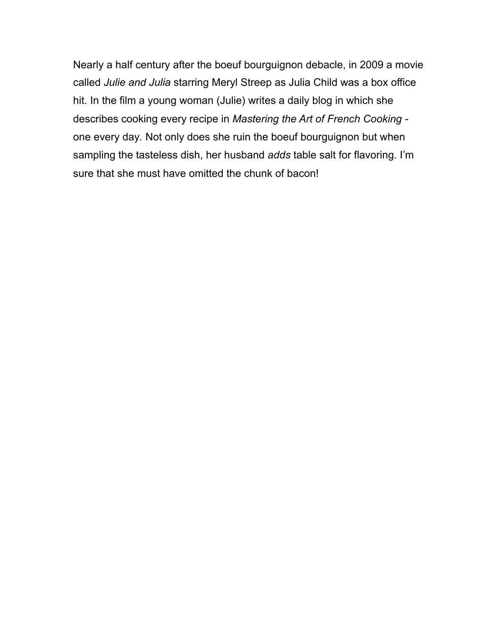Nearly a half century after the boeuf bourguignon debacle, in 2009 a movie called *Julie and Julia* starring Meryl Streep as Julia Child was a box office hit. In the film a young woman (Julie) writes a daily blog in which she describes cooking every recipe in *Mastering the Art of French Cooking*  one every day*.* Not only does she ruin the boeuf bourguignon but when sampling the tasteless dish, her husband *adds* table salt for flavoring. I'm sure that she must have omitted the chunk of bacon!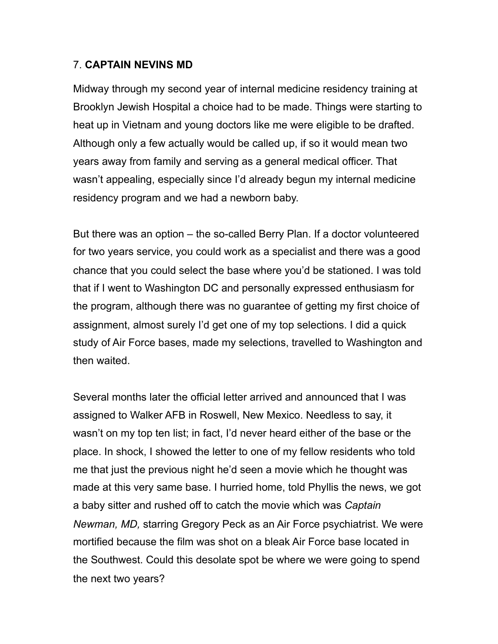# 7. **CAPTAIN NEVINS MD**

Midway through my second year of internal medicine residency training at Brooklyn Jewish Hospital a choice had to be made. Things were starting to heat up in Vietnam and young doctors like me were eligible to be drafted. Although only a few actually would be called up, if so it would mean two years away from family and serving as a general medical officer. That wasn't appealing, especially since I'd already begun my internal medicine residency program and we had a newborn baby.

But there was an option – the so-called Berry Plan. If a doctor volunteered for two years service, you could work as a specialist and there was a good chance that you could select the base where you'd be stationed. I was told that if I went to Washington DC and personally expressed enthusiasm for the program, although there was no guarantee of getting my first choice of assignment, almost surely I'd get one of my top selections. I did a quick study of Air Force bases, made my selections, travelled to Washington and then waited.

Several months later the official letter arrived and announced that I was assigned to Walker AFB in Roswell, New Mexico. Needless to say, it wasn't on my top ten list; in fact, I'd never heard either of the base or the place. In shock, I showed the letter to one of my fellow residents who told me that just the previous night he'd seen a movie which he thought was made at this very same base. I hurried home, told Phyllis the news, we got a baby sitter and rushed off to catch the movie which was *Captain Newman, MD,* starring Gregory Peck as an Air Force psychiatrist. We were mortified because the film was shot on a bleak Air Force base located in the Southwest. Could this desolate spot be where we were going to spend the next two years?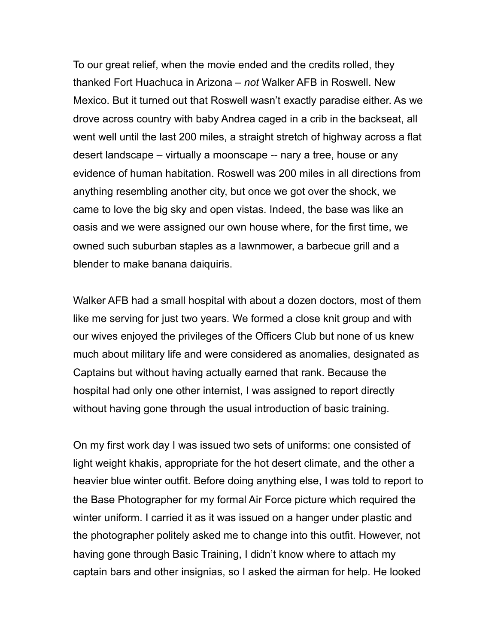To our great relief, when the movie ended and the credits rolled, they thanked Fort Huachuca in Arizona – *not* Walker AFB in Roswell. New Mexico. But it turned out that Roswell wasn't exactly paradise either. As we drove across country with baby Andrea caged in a crib in the backseat, all went well until the last 200 miles, a straight stretch of highway across a flat desert landscape – virtually a moonscape -- nary a tree, house or any evidence of human habitation. Roswell was 200 miles in all directions from anything resembling another city, but once we got over the shock, we came to love the big sky and open vistas. Indeed, the base was like an oasis and we were assigned our own house where, for the first time, we owned such suburban staples as a lawnmower, a barbecue grill and a blender to make banana daiquiris.

Walker AFB had a small hospital with about a dozen doctors, most of them like me serving for just two years. We formed a close knit group and with our wives enjoyed the privileges of the Officers Club but none of us knew much about military life and were considered as anomalies, designated as Captains but without having actually earned that rank. Because the hospital had only one other internist, I was assigned to report directly without having gone through the usual introduction of basic training.

On my first work day I was issued two sets of uniforms: one consisted of light weight khakis, appropriate for the hot desert climate, and the other a heavier blue winter outfit. Before doing anything else, I was told to report to the Base Photographer for my formal Air Force picture which required the winter uniform. I carried it as it was issued on a hanger under plastic and the photographer politely asked me to change into this outfit. However, not having gone through Basic Training, I didn't know where to attach my captain bars and other insignias, so I asked the airman for help. He looked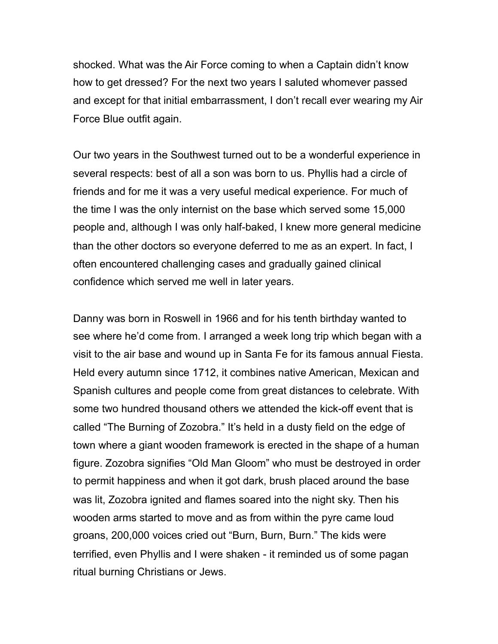shocked. What was the Air Force coming to when a Captain didn't know how to get dressed? For the next two years I saluted whomever passed and except for that initial embarrassment, I don't recall ever wearing my Air Force Blue outfit again.

Our two years in the Southwest turned out to be a wonderful experience in several respects: best of all a son was born to us. Phyllis had a circle of friends and for me it was a very useful medical experience. For much of the time I was the only internist on the base which served some 15,000 people and, although I was only half-baked, I knew more general medicine than the other doctors so everyone deferred to me as an expert. In fact, I often encountered challenging cases and gradually gained clinical confidence which served me well in later years.

Danny was born in Roswell in 1966 and for his tenth birthday wanted to see where he'd come from. I arranged a week long trip which began with a visit to the air base and wound up in Santa Fe for its famous annual Fiesta. Held every autumn since 1712, it combines native American, Mexican and Spanish cultures and people come from great distances to celebrate. With some two hundred thousand others we attended the kick-off event that is called "The Burning of Zozobra." It's held in a dusty field on the edge of town where a giant wooden framework is erected in the shape of a human figure. Zozobra signifies "Old Man Gloom" who must be destroyed in order to permit happiness and when it got dark, brush placed around the base was lit, Zozobra ignited and flames soared into the night sky. Then his wooden arms started to move and as from within the pyre came loud groans, 200,000 voices cried out "Burn, Burn, Burn." The kids were terrified, even Phyllis and I were shaken - it reminded us of some pagan ritual burning Christians or Jews.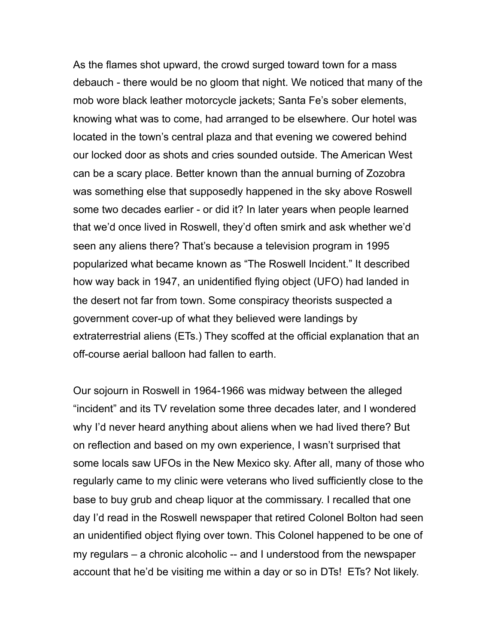As the flames shot upward, the crowd surged toward town for a mass debauch - there would be no gloom that night. We noticed that many of the mob wore black leather motorcycle jackets; Santa Fe's sober elements, knowing what was to come, had arranged to be elsewhere. Our hotel was located in the town's central plaza and that evening we cowered behind our locked door as shots and cries sounded outside. The American West can be a scary place. Better known than the annual burning of Zozobra was something else that supposedly happened in the sky above Roswell some two decades earlier - or did it? In later years when people learned that we'd once lived in Roswell, they'd often smirk and ask whether we'd seen any aliens there? That's because a television program in 1995 popularized what became known as "The Roswell Incident." It described how way back in 1947, an unidentified flying object (UFO) had landed in the desert not far from town. Some conspiracy theorists suspected a government cover-up of what they believed were landings by extraterrestrial aliens (ETs.) They scoffed at the official explanation that an off-course aerial balloon had fallen to earth.

Our sojourn in Roswell in 1964-1966 was midway between the alleged "incident" and its TV revelation some three decades later, and I wondered why I'd never heard anything about aliens when we had lived there? But on reflection and based on my own experience, I wasn't surprised that some locals saw UFOs in the New Mexico sky. After all, many of those who regularly came to my clinic were veterans who lived sufficiently close to the base to buy grub and cheap liquor at the commissary. I recalled that one day I'd read in the Roswell newspaper that retired Colonel Bolton had seen an unidentified object flying over town. This Colonel happened to be one of my regulars – a chronic alcoholic -- and I understood from the newspaper account that he'd be visiting me within a day or so in DTs! ETs? Not likely.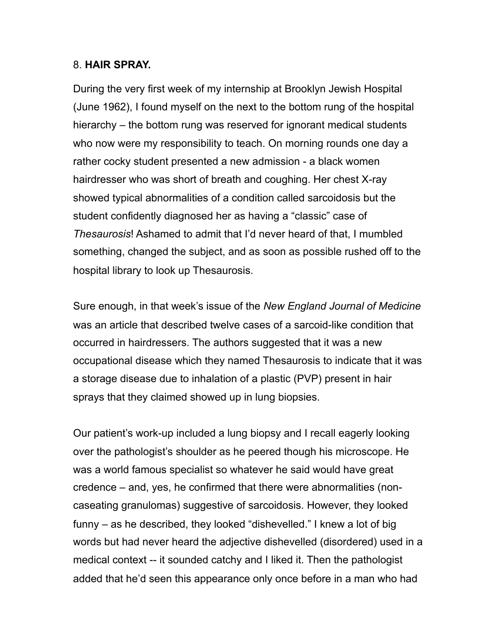# 8. **HAIR SPRAY.**

During the very first week of my internship at Brooklyn Jewish Hospital (June 1962), I found myself on the next to the bottom rung of the hospital hierarchy – the bottom rung was reserved for ignorant medical students who now were my responsibility to teach. On morning rounds one day a rather cocky student presented a new admission - a black women hairdresser who was short of breath and coughing. Her chest X-ray showed typical abnormalities of a condition called sarcoidosis but the student confidently diagnosed her as having a "classic" case of *Thesaurosis*! Ashamed to admit that I'd never heard of that, I mumbled something, changed the subject, and as soon as possible rushed off to the hospital library to look up Thesaurosis.

Sure enough, in that week's issue of the *New England Journal of Medicine*  was an article that described twelve cases of a sarcoid-like condition that occurred in hairdressers. The authors suggested that it was a new occupational disease which they named Thesaurosis to indicate that it was a storage disease due to inhalation of a plastic (PVP) present in hair sprays that they claimed showed up in lung biopsies.

Our patient's work-up included a lung biopsy and I recall eagerly looking over the pathologist's shoulder as he peered though his microscope. He was a world famous specialist so whatever he said would have great credence – and, yes, he confirmed that there were abnormalities (noncaseating granulomas) suggestive of sarcoidosis. However, they looked funny – as he described, they looked "dishevelled." I knew a lot of big words but had never heard the adjective dishevelled (disordered) used in a medical context -- it sounded catchy and I liked it. Then the pathologist added that he'd seen this appearance only once before in a man who had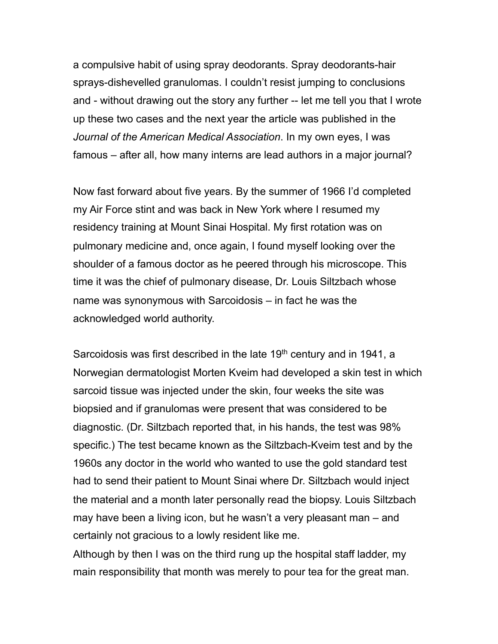a compulsive habit of using spray deodorants. Spray deodorants-hair sprays-dishevelled granulomas. I couldn't resist jumping to conclusions and - without drawing out the story any further -- let me tell you that I wrote up these two cases and the next year the article was published in the *Journal of the American Medical Association*. In my own eyes, I was famous – after all, how many interns are lead authors in a major journal?

Now fast forward about five years. By the summer of 1966 I'd completed my Air Force stint and was back in New York where I resumed my residency training at Mount Sinai Hospital. My first rotation was on pulmonary medicine and, once again, I found myself looking over the shoulder of a famous doctor as he peered through his microscope. This time it was the chief of pulmonary disease, Dr. Louis Siltzbach whose name was synonymous with Sarcoidosis – in fact he was the acknowledged world authority.

Sarcoidosis was first described in the late 19<sup>th</sup> century and in 1941, a Norwegian dermatologist Morten Kveim had developed a skin test in which sarcoid tissue was injected under the skin, four weeks the site was biopsied and if granulomas were present that was considered to be diagnostic. (Dr. Siltzbach reported that, in his hands, the test was 98% specific.) The test became known as the Siltzbach-Kveim test and by the 1960s any doctor in the world who wanted to use the gold standard test had to send their patient to Mount Sinai where Dr. Siltzbach would inject the material and a month later personally read the biopsy. Louis Siltzbach may have been a living icon, but he wasn't a very pleasant man – and certainly not gracious to a lowly resident like me.

Although by then I was on the third rung up the hospital staff ladder, my main responsibility that month was merely to pour tea for the great man.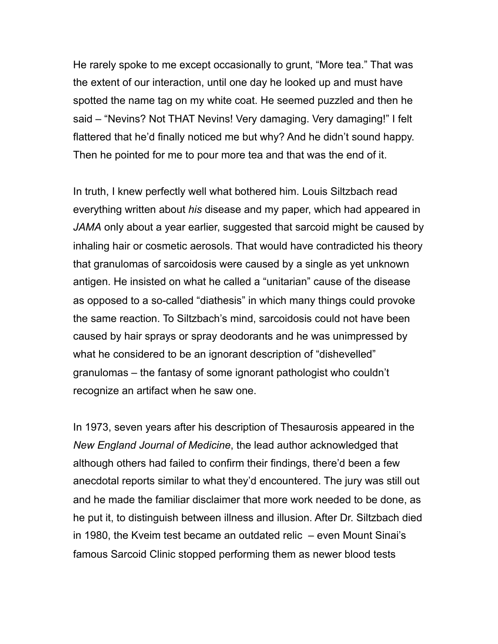He rarely spoke to me except occasionally to grunt, "More tea." That was the extent of our interaction, until one day he looked up and must have spotted the name tag on my white coat. He seemed puzzled and then he said – "Nevins? Not THAT Nevins! Very damaging. Very damaging!" I felt flattered that he'd finally noticed me but why? And he didn't sound happy. Then he pointed for me to pour more tea and that was the end of it.

In truth, I knew perfectly well what bothered him. Louis Siltzbach read everything written about *his* disease and my paper, which had appeared in *JAMA* only about a year earlier, suggested that sarcoid might be caused by inhaling hair or cosmetic aerosols. That would have contradicted his theory that granulomas of sarcoidosis were caused by a single as yet unknown antigen. He insisted on what he called a "unitarian" cause of the disease as opposed to a so-called "diathesis" in which many things could provoke the same reaction. To Siltzbach's mind, sarcoidosis could not have been caused by hair sprays or spray deodorants and he was unimpressed by what he considered to be an ignorant description of "dishevelled" granulomas – the fantasy of some ignorant pathologist who couldn't recognize an artifact when he saw one.

In 1973, seven years after his description of Thesaurosis appeared in the *New England Journal of Medicine*, the lead author acknowledged that although others had failed to confirm their findings, there'd been a few anecdotal reports similar to what they'd encountered. The jury was still out and he made the familiar disclaimer that more work needed to be done, as he put it, to distinguish between illness and illusion. After Dr. Siltzbach died in 1980, the Kveim test became an outdated relic – even Mount Sinai's famous Sarcoid Clinic stopped performing them as newer blood tests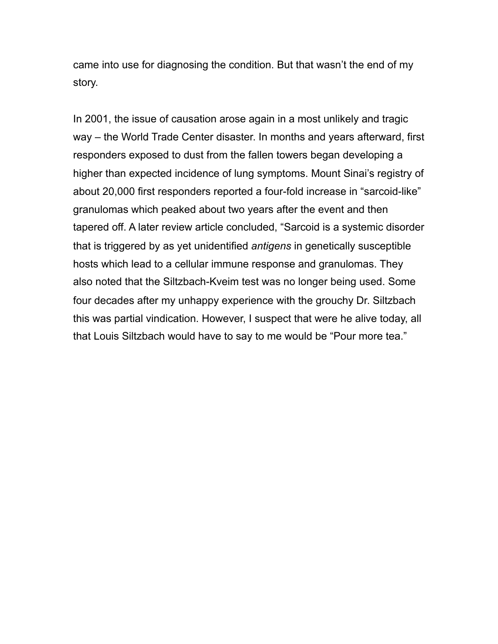came into use for diagnosing the condition. But that wasn't the end of my story.

In 2001, the issue of causation arose again in a most unlikely and tragic way – the World Trade Center disaster. In months and years afterward, first responders exposed to dust from the fallen towers began developing a higher than expected incidence of lung symptoms. Mount Sinai's registry of about 20,000 first responders reported a four-fold increase in "sarcoid-like" granulomas which peaked about two years after the event and then tapered off. A later review article concluded, "Sarcoid is a systemic disorder that is triggered by as yet unidentified *antigens* in genetically susceptible hosts which lead to a cellular immune response and granulomas. They also noted that the Siltzbach-Kveim test was no longer being used. Some four decades after my unhappy experience with the grouchy Dr. Siltzbach this was partial vindication. However, I suspect that were he alive today, all that Louis Siltzbach would have to say to me would be "Pour more tea."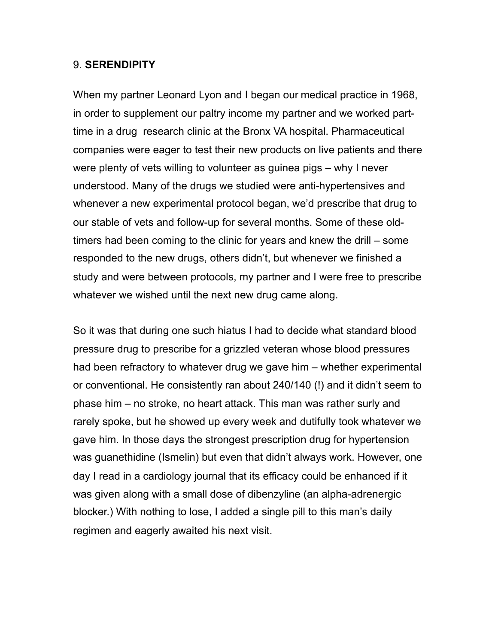## 9. **SERENDIPITY**

When my partner Leonard Lyon and I began our medical practice in 1968, in order to supplement our paltry income my partner and we worked parttime in a drug research clinic at the Bronx VA hospital. Pharmaceutical companies were eager to test their new products on live patients and there were plenty of vets willing to volunteer as guinea pigs – why I never understood. Many of the drugs we studied were anti-hypertensives and whenever a new experimental protocol began, we'd prescribe that drug to our stable of vets and follow-up for several months. Some of these oldtimers had been coming to the clinic for years and knew the drill – some responded to the new drugs, others didn't, but whenever we finished a study and were between protocols, my partner and I were free to prescribe whatever we wished until the next new drug came along.

So it was that during one such hiatus I had to decide what standard blood pressure drug to prescribe for a grizzled veteran whose blood pressures had been refractory to whatever drug we gave him – whether experimental or conventional. He consistently ran about 240/140 (!) and it didn't seem to phase him – no stroke, no heart attack. This man was rather surly and rarely spoke, but he showed up every week and dutifully took whatever we gave him. In those days the strongest prescription drug for hypertension was guanethidine (Ismelin) but even that didn't always work. However, one day I read in a cardiology journal that its efficacy could be enhanced if it was given along with a small dose of dibenzyline (an alpha-adrenergic blocker.) With nothing to lose, I added a single pill to this man's daily regimen and eagerly awaited his next visit.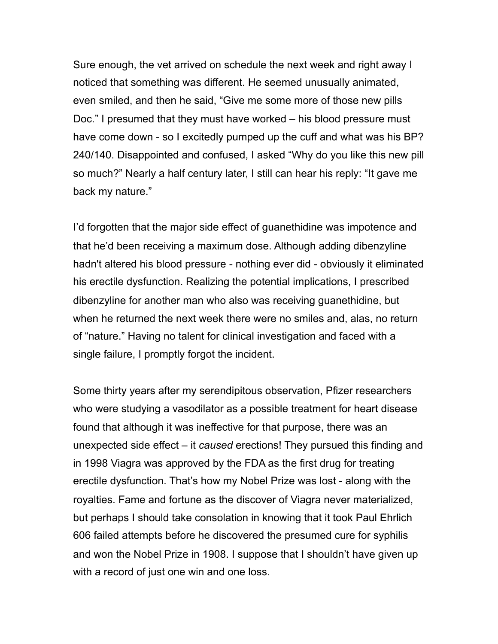Sure enough, the vet arrived on schedule the next week and right away I noticed that something was different. He seemed unusually animated, even smiled, and then he said, "Give me some more of those new pills Doc." I presumed that they must have worked – his blood pressure must have come down - so I excitedly pumped up the cuff and what was his BP? 240/140. Disappointed and confused, I asked "Why do you like this new pill so much?" Nearly a half century later, I still can hear his reply: "It gave me back my nature."

I'd forgotten that the major side effect of guanethidine was impotence and that he'd been receiving a maximum dose. Although adding dibenzyline hadn't altered his blood pressure - nothing ever did - obviously it eliminated his erectile dysfunction. Realizing the potential implications, I prescribed dibenzyline for another man who also was receiving guanethidine, but when he returned the next week there were no smiles and, alas, no return of "nature." Having no talent for clinical investigation and faced with a single failure, I promptly forgot the incident.

Some thirty years after my serendipitous observation, Pfizer researchers who were studying a vasodilator as a possible treatment for heart disease found that although it was ineffective for that purpose, there was an unexpected side effect – it *caused* erections! They pursued this finding and in 1998 Viagra was approved by the FDA as the first drug for treating erectile dysfunction. That's how my Nobel Prize was lost - along with the royalties. Fame and fortune as the discover of Viagra never materialized, but perhaps I should take consolation in knowing that it took Paul Ehrlich 606 failed attempts before he discovered the presumed cure for syphilis and won the Nobel Prize in 1908. I suppose that I shouldn't have given up with a record of just one win and one loss.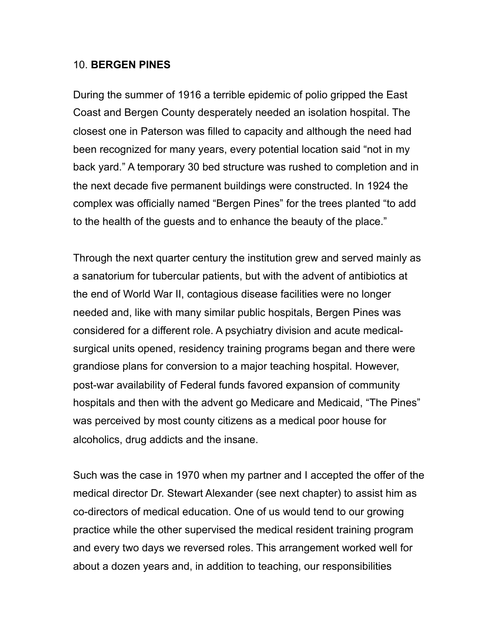### 10. **BERGEN PINES**

During the summer of 1916 a terrible epidemic of polio gripped the East Coast and Bergen County desperately needed an isolation hospital. The closest one in Paterson was filled to capacity and although the need had been recognized for many years, every potential location said "not in my back yard." A temporary 30 bed structure was rushed to completion and in the next decade five permanent buildings were constructed. In 1924 the complex was officially named "Bergen Pines" for the trees planted "to add to the health of the guests and to enhance the beauty of the place."

Through the next quarter century the institution grew and served mainly as a sanatorium for tubercular patients, but with the advent of antibiotics at the end of World War II, contagious disease facilities were no longer needed and, like with many similar public hospitals, Bergen Pines was considered for a different role. A psychiatry division and acute medicalsurgical units opened, residency training programs began and there were grandiose plans for conversion to a major teaching hospital. However, post-war availability of Federal funds favored expansion of community hospitals and then with the advent go Medicare and Medicaid, "The Pines" was perceived by most county citizens as a medical poor house for alcoholics, drug addicts and the insane.

Such was the case in 1970 when my partner and I accepted the offer of the medical director Dr. Stewart Alexander (see next chapter) to assist him as co-directors of medical education. One of us would tend to our growing practice while the other supervised the medical resident training program and every two days we reversed roles. This arrangement worked well for about a dozen years and, in addition to teaching, our responsibilities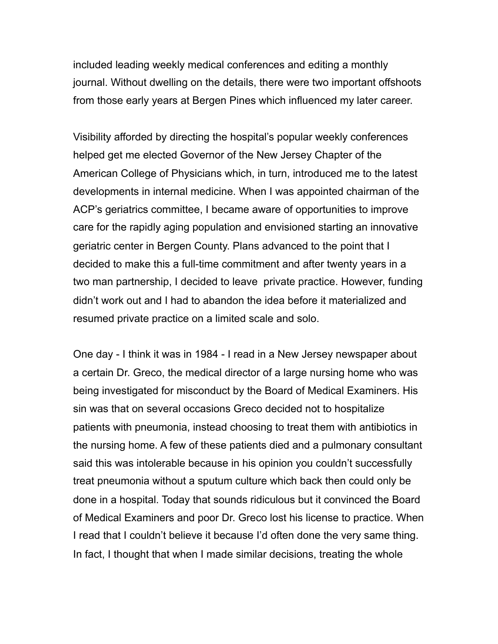included leading weekly medical conferences and editing a monthly journal. Without dwelling on the details, there were two important offshoots from those early years at Bergen Pines which influenced my later career.

Visibility afforded by directing the hospital's popular weekly conferences helped get me elected Governor of the New Jersey Chapter of the American College of Physicians which, in turn, introduced me to the latest developments in internal medicine. When I was appointed chairman of the ACP's geriatrics committee, I became aware of opportunities to improve care for the rapidly aging population and envisioned starting an innovative geriatric center in Bergen County. Plans advanced to the point that I decided to make this a full-time commitment and after twenty years in a two man partnership, I decided to leave private practice. However, funding didn't work out and I had to abandon the idea before it materialized and resumed private practice on a limited scale and solo.

One day - I think it was in 1984 - I read in a New Jersey newspaper about a certain Dr. Greco, the medical director of a large nursing home who was being investigated for misconduct by the Board of Medical Examiners. His sin was that on several occasions Greco decided not to hospitalize patients with pneumonia, instead choosing to treat them with antibiotics in the nursing home. A few of these patients died and a pulmonary consultant said this was intolerable because in his opinion you couldn't successfully treat pneumonia without a sputum culture which back then could only be done in a hospital. Today that sounds ridiculous but it convinced the Board of Medical Examiners and poor Dr. Greco lost his license to practice. When I read that I couldn't believe it because I'd often done the very same thing. In fact, I thought that when I made similar decisions, treating the whole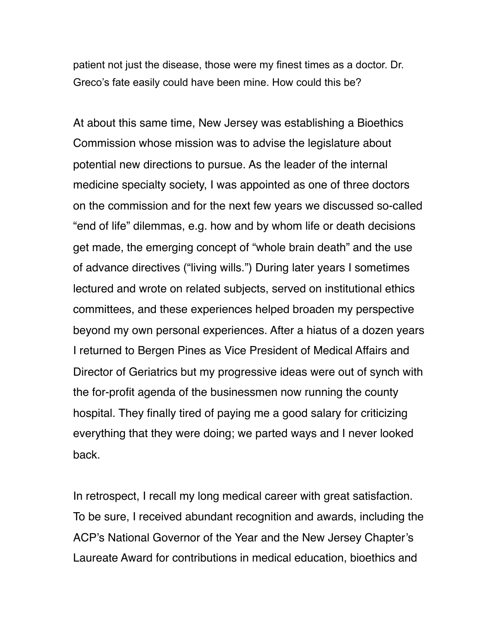patient not just the disease, those were my finest times as a doctor. Dr. Greco's fate easily could have been mine. How could this be?

At about this same time, New Jersey was establishing a Bioethics Commission whose mission was to advise the legislature about potential new directions to pursue. As the leader of the internal medicine specialty society, I was appointed as one of three doctors on the commission and for the next few years we discussed so-called "end of life" dilemmas, e.g. how and by whom life or death decisions get made, the emerging concept of "whole brain death" and the use of advance directives ("living wills.") During later years I sometimes lectured and wrote on related subjects, served on institutional ethics committees, and these experiences helped broaden my perspective beyond my own personal experiences. After a hiatus of a dozen years I returned to Bergen Pines as Vice President of Medical Affairs and Director of Geriatrics but my progressive ideas were out of synch with the for-profit agenda of the businessmen now running the county hospital. They finally tired of paying me a good salary for criticizing everything that they were doing; we parted ways and I never looked back.

In retrospect, I recall my long medical career with great satisfaction. To be sure, I received abundant recognition and awards, including the ACP's National Governor of the Year and the New Jersey Chapter's Laureate Award for contributions in medical education, bioethics and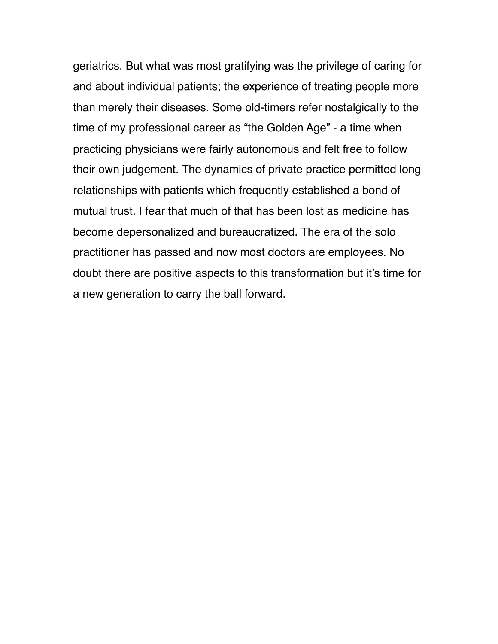geriatrics. But what was most gratifying was the privilege of caring for and about individual patients; the experience of treating people more than merely their diseases. Some old-timers refer nostalgically to the time of my professional career as "the Golden Age" - a time when practicing physicians were fairly autonomous and felt free to follow their own judgement. The dynamics of private practice permitted long relationships with patients which frequently established a bond of mutual trust. I fear that much of that has been lost as medicine has become depersonalized and bureaucratized. The era of the solo practitioner has passed and now most doctors are employees. No doubt there are positive aspects to this transformation but it's time for a new generation to carry the ball forward.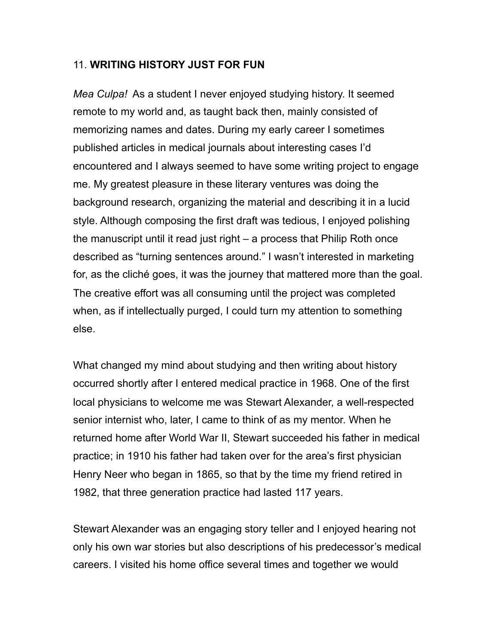## 11. **WRITING HISTORY JUST FOR FUN**

*Mea Culpa!* As a student I never enjoyed studying history. It seemed remote to my world and, as taught back then, mainly consisted of memorizing names and dates. During my early career I sometimes published articles in medical journals about interesting cases I'd encountered and I always seemed to have some writing project to engage me. My greatest pleasure in these literary ventures was doing the background research, organizing the material and describing it in a lucid style. Although composing the first draft was tedious, I enjoyed polishing the manuscript until it read just right – a process that Philip Roth once described as "turning sentences around." I wasn't interested in marketing for, as the cliché goes, it was the journey that mattered more than the goal. The creative effort was all consuming until the project was completed when, as if intellectually purged, I could turn my attention to something else.

What changed my mind about studying and then writing about history occurred shortly after I entered medical practice in 1968. One of the first local physicians to welcome me was Stewart Alexander, a well-respected senior internist who, later, I came to think of as my mentor. When he returned home after World War II, Stewart succeeded his father in medical practice; in 1910 his father had taken over for the area's first physician Henry Neer who began in 1865, so that by the time my friend retired in 1982, that three generation practice had lasted 117 years.

Stewart Alexander was an engaging story teller and I enjoyed hearing not only his own war stories but also descriptions of his predecessor's medical careers. I visited his home office several times and together we would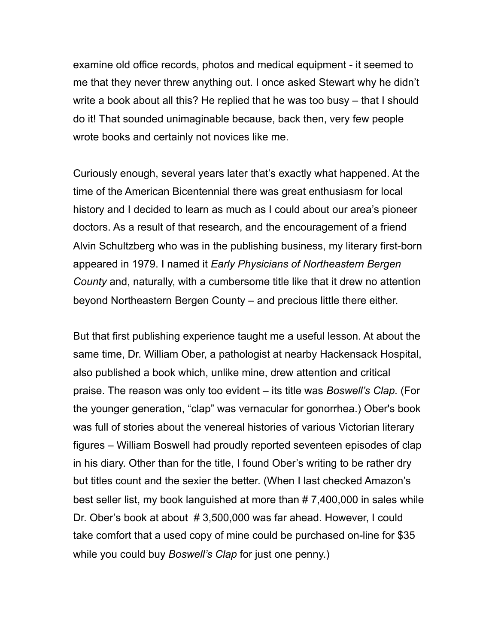examine old office records, photos and medical equipment - it seemed to me that they never threw anything out. I once asked Stewart why he didn't write a book about all this? He replied that he was too busy – that I should do it! That sounded unimaginable because, back then, very few people wrote books and certainly not novices like me.

Curiously enough, several years later that's exactly what happened. At the time of the American Bicentennial there was great enthusiasm for local history and I decided to learn as much as I could about our area's pioneer doctors. As a result of that research, and the encouragement of a friend Alvin Schultzberg who was in the publishing business, my literary first-born appeared in 1979. I named it *Early Physicians of Northeastern Bergen County* and, naturally, with a cumbersome title like that it drew no attention beyond Northeastern Bergen County – and precious little there either.

But that first publishing experience taught me a useful lesson. At about the same time, Dr. William Ober, a pathologist at nearby Hackensack Hospital, also published a book which, unlike mine, drew attention and critical praise. The reason was only too evident – its title was *Boswell's Clap.* (For the younger generation, "clap" was vernacular for gonorrhea.) Ober's book was full of stories about the venereal histories of various Victorian literary figures – William Boswell had proudly reported seventeen episodes of clap in his diary. Other than for the title, I found Ober's writing to be rather dry but titles count and the sexier the better. (When I last checked Amazon's best seller list, my book languished at more than # 7,400,000 in sales while Dr. Ober's book at about # 3,500,000 was far ahead. However, I could take comfort that a used copy of mine could be purchased on-line for \$35 while you could buy *Boswell's Clap* for just one penny.)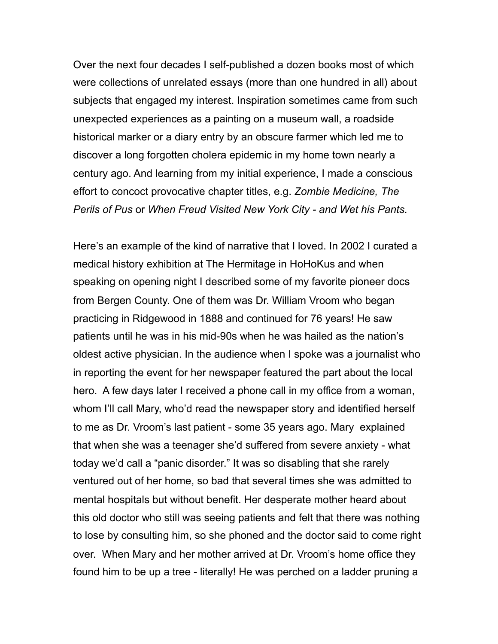Over the next four decades I self-published a dozen books most of which were collections of unrelated essays (more than one hundred in all) about subjects that engaged my interest. Inspiration sometimes came from such unexpected experiences as a painting on a museum wall, a roadside historical marker or a diary entry by an obscure farmer which led me to discover a long forgotten cholera epidemic in my home town nearly a century ago. And learning from my initial experience, I made a conscious effort to concoct provocative chapter titles, e.g. *Zombie Medicine, The Perils of Pus* or *When Freud Visited New York City - and Wet his Pants.* 

Here's an example of the kind of narrative that I loved. In 2002 I curated a medical history exhibition at The Hermitage in HoHoKus and when speaking on opening night I described some of my favorite pioneer docs from Bergen County. One of them was Dr. William Vroom who began practicing in Ridgewood in 1888 and continued for 76 years! He saw patients until he was in his mid-90s when he was hailed as the nation's oldest active physician. In the audience when I spoke was a journalist who in reporting the event for her newspaper featured the part about the local hero. A few days later I received a phone call in my office from a woman, whom I'll call Mary, who'd read the newspaper story and identified herself to me as Dr. Vroom's last patient - some 35 years ago. Mary explained that when she was a teenager she'd suffered from severe anxiety - what today we'd call a "panic disorder." It was so disabling that she rarely ventured out of her home, so bad that several times she was admitted to mental hospitals but without benefit. Her desperate mother heard about this old doctor who still was seeing patients and felt that there was nothing to lose by consulting him, so she phoned and the doctor said to come right over. When Mary and her mother arrived at Dr. Vroom's home office they found him to be up a tree - literally! He was perched on a ladder pruning a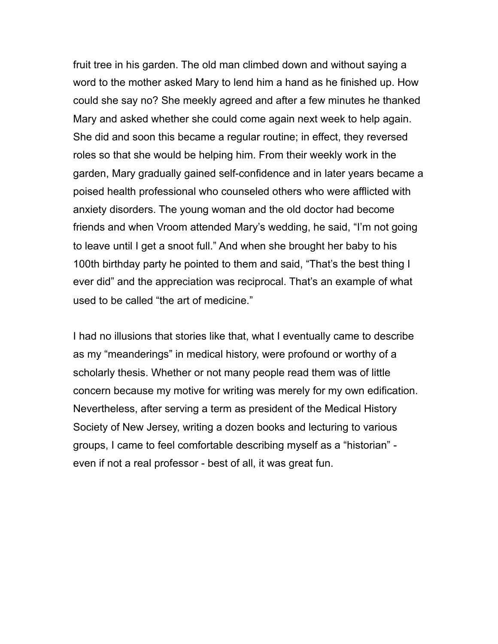fruit tree in his garden. The old man climbed down and without saying a word to the mother asked Mary to lend him a hand as he finished up. How could she say no? She meekly agreed and after a few minutes he thanked Mary and asked whether she could come again next week to help again. She did and soon this became a regular routine; in effect, they reversed roles so that she would be helping him. From their weekly work in the garden, Mary gradually gained self-confidence and in later years became a poised health professional who counseled others who were afflicted with anxiety disorders. The young woman and the old doctor had become friends and when Vroom attended Mary's wedding, he said, "I'm not going to leave until I get a snoot full." And when she brought her baby to his 100th birthday party he pointed to them and said, "That's the best thing I ever did" and the appreciation was reciprocal. That's an example of what used to be called "the art of medicine."

I had no illusions that stories like that, what I eventually came to describe as my "meanderings" in medical history, were profound or worthy of a scholarly thesis. Whether or not many people read them was of little concern because my motive for writing was merely for my own edification. Nevertheless, after serving a term as president of the Medical History Society of New Jersey, writing a dozen books and lecturing to various groups, I came to feel comfortable describing myself as a "historian" even if not a real professor - best of all, it was great fun.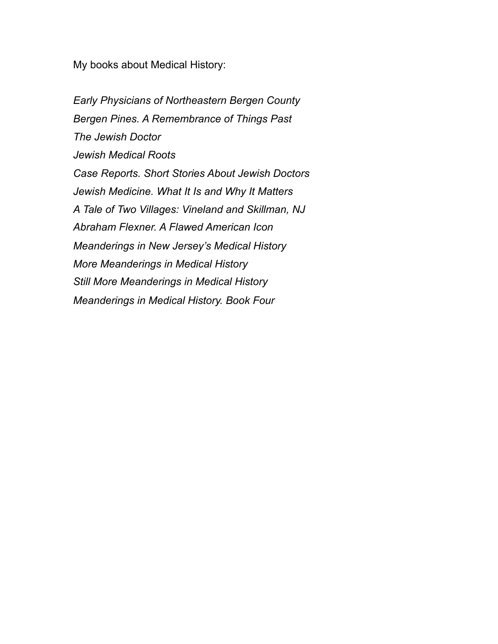My books about Medical History:

*Early Physicians of Northeastern Bergen County Bergen Pines. A Remembrance of Things Past The Jewish Doctor Jewish Medical Roots Case Reports. Short Stories About Jewish Doctors Jewish Medicine. What It Is and Why It Matters A Tale of Two Villages: Vineland and Skillman, NJ Abraham Flexner. A Flawed American Icon Meanderings in New Jersey's Medical History More Meanderings in Medical History Still More Meanderings in Medical History Meanderings in Medical History. Book Four*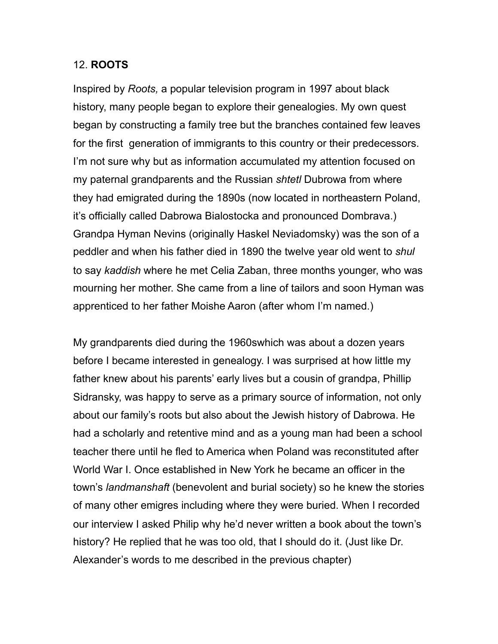### 12. **ROOTS**

Inspired by *Roots,* a popular television program in 1997 about black history, many people began to explore their genealogies. My own quest began by constructing a family tree but the branches contained few leaves for the first generation of immigrants to this country or their predecessors. I'm not sure why but as information accumulated my attention focused on my paternal grandparents and the Russian *shtetl* Dubrowa from where they had emigrated during the 1890s (now located in northeastern Poland, it's officially called Dabrowa Bialostocka and pronounced Dombrava.) Grandpa Hyman Nevins (originally Haskel Neviadomsky) was the son of a peddler and when his father died in 1890 the twelve year old went to *shul* to say *kaddish* where he met Celia Zaban, three months younger, who was mourning her mother. She came from a line of tailors and soon Hyman was apprenticed to her father Moishe Aaron (after whom I'm named.)

My grandparents died during the 1960swhich was about a dozen years before I became interested in genealogy. I was surprised at how little my father knew about his parents' early lives but a cousin of grandpa, Phillip Sidransky, was happy to serve as a primary source of information, not only about our family's roots but also about the Jewish history of Dabrowa. He had a scholarly and retentive mind and as a young man had been a school teacher there until he fled to America when Poland was reconstituted after World War I. Once established in New York he became an officer in the town's *landmanshaft* (benevolent and burial society) so he knew the stories of many other emigres including where they were buried. When I recorded our interview I asked Philip why he'd never written a book about the town's history? He replied that he was too old, that I should do it. (Just like Dr. Alexander's words to me described in the previous chapter)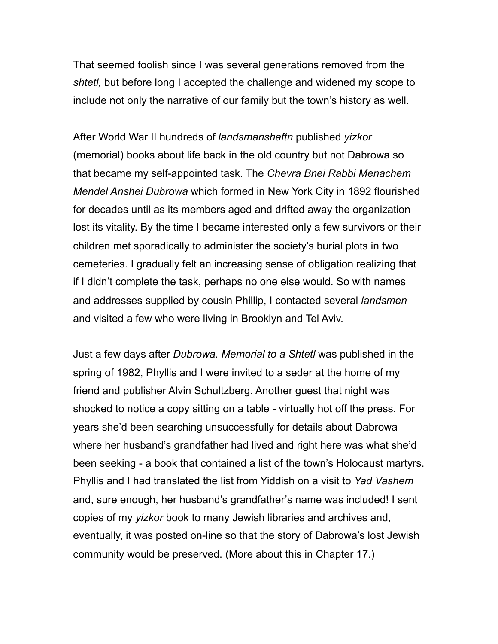That seemed foolish since I was several generations removed from the *shtetl,* but before long I accepted the challenge and widened my scope to include not only the narrative of our family but the town's history as well.

After World War II hundreds of *landsmanshaftn* published *yizkor* (memorial) books about life back in the old country but not Dabrowa so that became my self-appointed task. The *Chevra Bnei Rabbi Menachem Mendel Anshei Dubrowa* which formed in New York City in 1892 flourished for decades until as its members aged and drifted away the organization lost its vitality. By the time I became interested only a few survivors or their children met sporadically to administer the society's burial plots in two cemeteries. I gradually felt an increasing sense of obligation realizing that if I didn't complete the task, perhaps no one else would. So with names and addresses supplied by cousin Phillip, I contacted several *landsmen* and visited a few who were living in Brooklyn and Tel Aviv.

Just a few days after *Dubrowa. Memorial to a Shtetl* was published in the spring of 1982, Phyllis and I were invited to a seder at the home of my friend and publisher Alvin Schultzberg. Another guest that night was shocked to notice a copy sitting on a table *-* virtually hot off the press. For years she'd been searching unsuccessfully for details about Dabrowa where her husband's grandfather had lived and right here was what she'd been seeking - a book that contained a list of the town's Holocaust martyrs. Phyllis and I had translated the list from Yiddish on a visit to *Yad Vashem*  and, sure enough, her husband's grandfather's name was included! I sent copies of my *yizkor* book to many Jewish libraries and archives and, eventually, it was posted on-line so that the story of Dabrowa's lost Jewish community would be preserved. (More about this in Chapter 17.)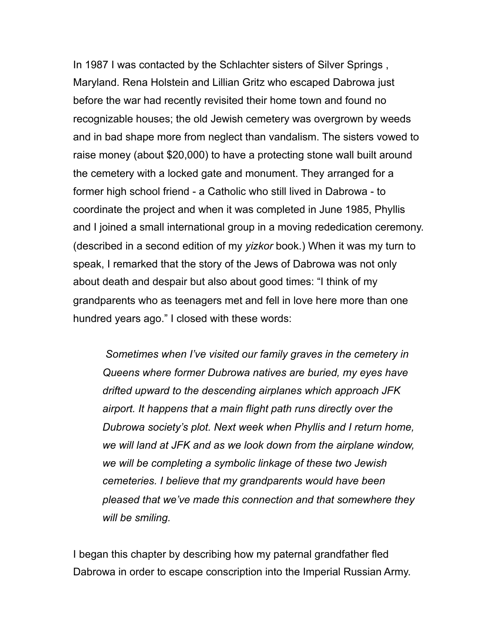In 1987 I was contacted by the Schlachter sisters of Silver Springs , Maryland. Rena Holstein and Lillian Gritz who escaped Dabrowa just before the war had recently revisited their home town and found no recognizable houses; the old Jewish cemetery was overgrown by weeds and in bad shape more from neglect than vandalism. The sisters vowed to raise money (about \$20,000) to have a protecting stone wall built around the cemetery with a locked gate and monument. They arranged for a former high school friend - a Catholic who still lived in Dabrowa - to coordinate the project and when it was completed in June 1985, Phyllis and I joined a small international group in a moving rededication ceremony. (described in a second edition of my *yizkor* book.) When it was my turn to speak, I remarked that the story of the Jews of Dabrowa was not only about death and despair but also about good times: "I think of my grandparents who as teenagers met and fell in love here more than one hundred years ago." I closed with these words:

 *Sometimes when I've visited our family graves in the cemetery in Queens where former Dubrowa natives are buried, my eyes have drifted upward to the descending airplanes which approach JFK airport. It happens that a main flight path runs directly over the Dubrowa society's plot. Next week when Phyllis and I return home, we will land at JFK and as we look down from the airplane window, we will be completing a symbolic linkage of these two Jewish cemeteries. I believe that my grandparents would have been pleased that we've made this connection and that somewhere they will be smiling.* 

I began this chapter by describing how my paternal grandfather fled Dabrowa in order to escape conscription into the Imperial Russian Army.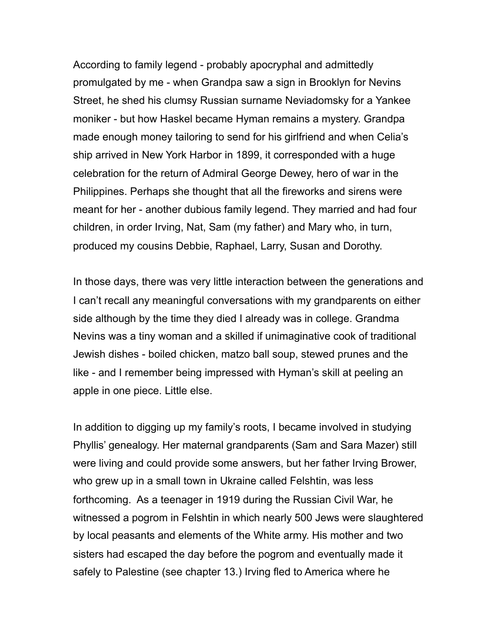According to family legend - probably apocryphal and admittedly promulgated by me - when Grandpa saw a sign in Brooklyn for Nevins Street, he shed his clumsy Russian surname Neviadomsky for a Yankee moniker - but how Haskel became Hyman remains a mystery. Grandpa made enough money tailoring to send for his girlfriend and when Celia's ship arrived in New York Harbor in 1899, it corresponded with a huge celebration for the return of Admiral George Dewey, hero of war in the Philippines. Perhaps she thought that all the fireworks and sirens were meant for her - another dubious family legend. They married and had four children, in order Irving, Nat, Sam (my father) and Mary who, in turn, produced my cousins Debbie, Raphael, Larry, Susan and Dorothy.

In those days, there was very little interaction between the generations and I can't recall any meaningful conversations with my grandparents on either side although by the time they died I already was in college. Grandma Nevins was a tiny woman and a skilled if unimaginative cook of traditional Jewish dishes - boiled chicken, matzo ball soup, stewed prunes and the like - and I remember being impressed with Hyman's skill at peeling an apple in one piece. Little else.

In addition to digging up my family's roots, I became involved in studying Phyllis' genealogy. Her maternal grandparents (Sam and Sara Mazer) still were living and could provide some answers, but her father Irving Brower, who grew up in a small town in Ukraine called Felshtin, was less forthcoming. As a teenager in 1919 during the Russian Civil War, he witnessed a pogrom in Felshtin in which nearly 500 Jews were slaughtered by local peasants and elements of the White army. His mother and two sisters had escaped the day before the pogrom and eventually made it safely to Palestine (see chapter 13.) Irving fled to America where he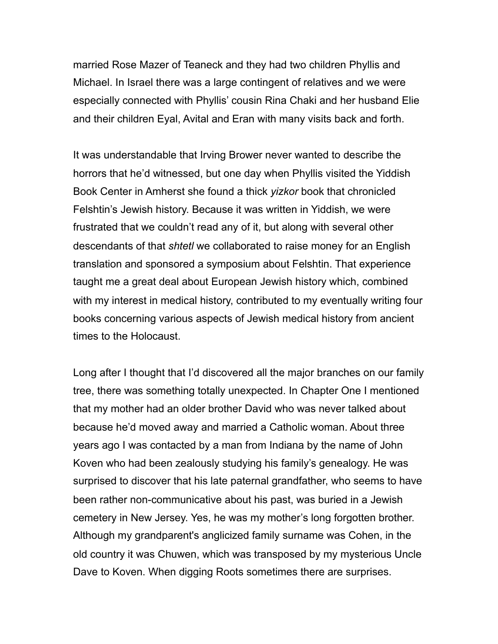married Rose Mazer of Teaneck and they had two children Phyllis and Michael. In Israel there was a large contingent of relatives and we were especially connected with Phyllis' cousin Rina Chaki and her husband Elie and their children Eyal, Avital and Eran with many visits back and forth.

It was understandable that Irving Brower never wanted to describe the horrors that he'd witnessed, but one day when Phyllis visited the Yiddish Book Center in Amherst she found a thick *yizkor* book that chronicled Felshtin's Jewish history. Because it was written in Yiddish, we were frustrated that we couldn't read any of it, but along with several other descendants of that *shtetl* we collaborated to raise money for an English translation and sponsored a symposium about Felshtin. That experience taught me a great deal about European Jewish history which, combined with my interest in medical history, contributed to my eventually writing four books concerning various aspects of Jewish medical history from ancient times to the Holocaust.

Long after I thought that I'd discovered all the major branches on our family tree, there was something totally unexpected. In Chapter One I mentioned that my mother had an older brother David who was never talked about because he'd moved away and married a Catholic woman. About three years ago I was contacted by a man from Indiana by the name of John Koven who had been zealously studying his family's genealogy. He was surprised to discover that his late paternal grandfather, who seems to have been rather non-communicative about his past, was buried in a Jewish cemetery in New Jersey. Yes, he was my mother's long forgotten brother. Although my grandparent's anglicized family surname was Cohen, in the old country it was Chuwen, which was transposed by my mysterious Uncle Dave to Koven. When digging Roots sometimes there are surprises.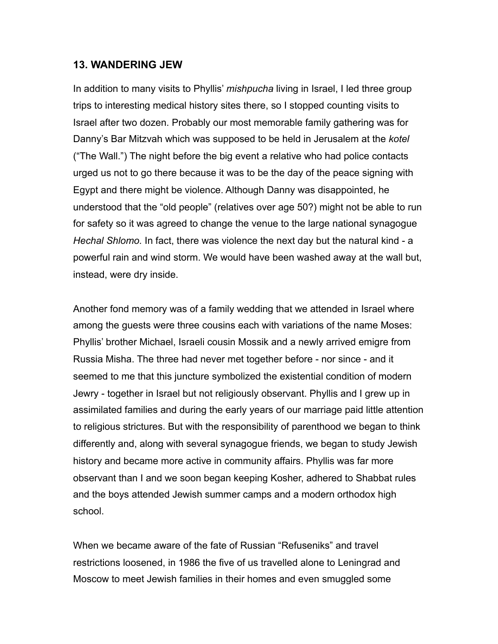### **13. WANDERING JEW**

In addition to many visits to Phyllis' *mishpucha* living in Israel, I led three group trips to interesting medical history sites there, so I stopped counting visits to Israel after two dozen. Probably our most memorable family gathering was for Danny's Bar Mitzvah which was supposed to be held in Jerusalem at the *kotel*  ("The Wall.") The night before the big event a relative who had police contacts urged us not to go there because it was to be the day of the peace signing with Egypt and there might be violence. Although Danny was disappointed, he understood that the "old people" (relatives over age 50?) might not be able to run for safety so it was agreed to change the venue to the large national synagogue *Hechal Shlomo.* In fact, there was violence the next day but the natural kind - a powerful rain and wind storm. We would have been washed away at the wall but, instead, were dry inside.

Another fond memory was of a family wedding that we attended in Israel where among the guests were three cousins each with variations of the name Moses: Phyllis' brother Michael, Israeli cousin Mossik and a newly arrived emigre from Russia Misha. The three had never met together before - nor since - and it seemed to me that this juncture symbolized the existential condition of modern Jewry - together in Israel but not religiously observant. Phyllis and I grew up in assimilated families and during the early years of our marriage paid little attention to religious strictures. But with the responsibility of parenthood we began to think differently and, along with several synagogue friends, we began to study Jewish history and became more active in community affairs. Phyllis was far more observant than I and we soon began keeping Kosher, adhered to Shabbat rules and the boys attended Jewish summer camps and a modern orthodox high school.

When we became aware of the fate of Russian "Refuseniks" and travel restrictions loosened, in 1986 the five of us travelled alone to Leningrad and Moscow to meet Jewish families in their homes and even smuggled some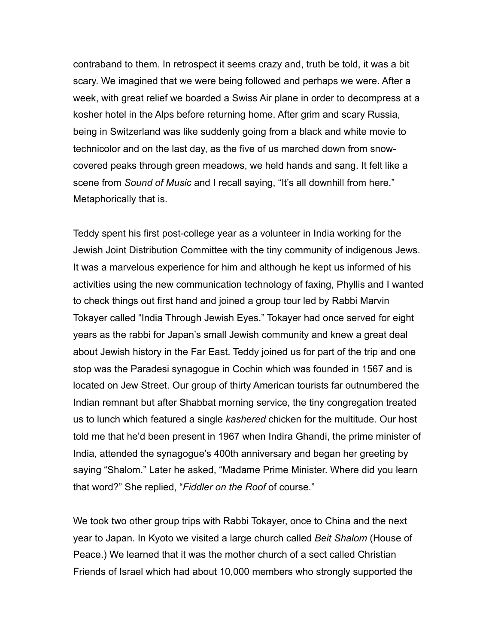contraband to them. In retrospect it seems crazy and, truth be told, it was a bit scary. We imagined that we were being followed and perhaps we were. After a week, with great relief we boarded a Swiss Air plane in order to decompress at a kosher hotel in the Alps before returning home. After grim and scary Russia, being in Switzerland was like suddenly going from a black and white movie to technicolor and on the last day, as the five of us marched down from snowcovered peaks through green meadows, we held hands and sang. It felt like a scene from *Sound of Music* and I recall saying, "It's all downhill from here." Metaphorically that is.

Teddy spent his first post-college year as a volunteer in India working for the Jewish Joint Distribution Committee with the tiny community of indigenous Jews. It was a marvelous experience for him and although he kept us informed of his activities using the new communication technology of faxing, Phyllis and I wanted to check things out first hand and joined a group tour led by Rabbi Marvin Tokayer called "India Through Jewish Eyes." Tokayer had once served for eight years as the rabbi for Japan's small Jewish community and knew a great deal about Jewish history in the Far East. Teddy joined us for part of the trip and one stop was the Paradesi synagogue in Cochin which was founded in 1567 and is located on Jew Street. Our group of thirty American tourists far outnumbered the Indian remnant but after Shabbat morning service, the tiny congregation treated us to lunch which featured a single *kashered* chicken for the multitude. Our host told me that he'd been present in 1967 when Indira Ghandi, the prime minister of India, attended the synagogue's 400th anniversary and began her greeting by saying "Shalom." Later he asked, "Madame Prime Minister. Where did you learn that word?" She replied, "*Fiddler on the Roof* of course."

We took two other group trips with Rabbi Tokayer, once to China and the next year to Japan. In Kyoto we visited a large church called *Beit Shalom* (House of Peace.) We learned that it was the mother church of a sect called Christian Friends of Israel which had about 10,000 members who strongly supported the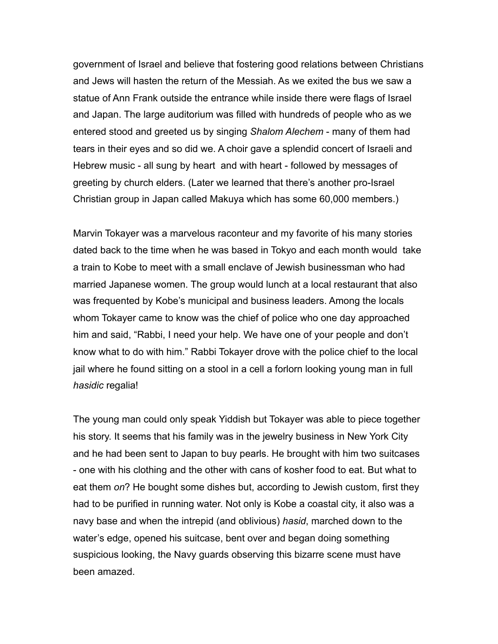government of Israel and believe that fostering good relations between Christians and Jews will hasten the return of the Messiah. As we exited the bus we saw a statue of Ann Frank outside the entrance while inside there were flags of Israel and Japan. The large auditorium was filled with hundreds of people who as we entered stood and greeted us by singing *Shalom Alechem* - many of them had tears in their eyes and so did we. A choir gave a splendid concert of Israeli and Hebrew music - all sung by heart and with heart - followed by messages of greeting by church elders. (Later we learned that there's another pro-Israel Christian group in Japan called Makuya which has some 60,000 members.)

Marvin Tokayer was a marvelous raconteur and my favorite of his many stories dated back to the time when he was based in Tokyo and each month would take a train to Kobe to meet with a small enclave of Jewish businessman who had married Japanese women. The group would lunch at a local restaurant that also was frequented by Kobe's municipal and business leaders. Among the locals whom Tokayer came to know was the chief of police who one day approached him and said, "Rabbi, I need your help. We have one of your people and don't know what to do with him." Rabbi Tokayer drove with the police chief to the local jail where he found sitting on a stool in a cell a forlorn looking young man in full *hasidic* regalia!

The young man could only speak Yiddish but Tokayer was able to piece together his story. It seems that his family was in the jewelry business in New York City and he had been sent to Japan to buy pearls. He brought with him two suitcases - one with his clothing and the other with cans of kosher food to eat. But what to eat them *on*? He bought some dishes but, according to Jewish custom, first they had to be purified in running water. Not only is Kobe a coastal city, it also was a navy base and when the intrepid (and oblivious) *hasid*, marched down to the water's edge, opened his suitcase, bent over and began doing something suspicious looking, the Navy guards observing this bizarre scene must have been amazed.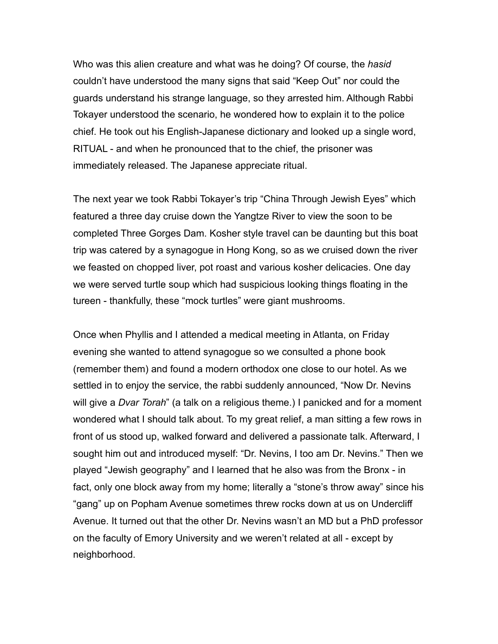Who was this alien creature and what was he doing? Of course, the *hasid* couldn't have understood the many signs that said "Keep Out" nor could the guards understand his strange language, so they arrested him. Although Rabbi Tokayer understood the scenario, he wondered how to explain it to the police chief. He took out his English-Japanese dictionary and looked up a single word, RITUAL - and when he pronounced that to the chief, the prisoner was immediately released. The Japanese appreciate ritual.

The next year we took Rabbi Tokayer's trip "China Through Jewish Eyes" which featured a three day cruise down the Yangtze River to view the soon to be completed Three Gorges Dam. Kosher style travel can be daunting but this boat trip was catered by a synagogue in Hong Kong, so as we cruised down the river we feasted on chopped liver, pot roast and various kosher delicacies. One day we were served turtle soup which had suspicious looking things floating in the tureen - thankfully, these "mock turtles" were giant mushrooms.

Once when Phyllis and I attended a medical meeting in Atlanta, on Friday evening she wanted to attend synagogue so we consulted a phone book (remember them) and found a modern orthodox one close to our hotel. As we settled in to enjoy the service, the rabbi suddenly announced, "Now Dr. Nevins will give a *Dvar Torah*" (a talk on a religious theme.) I panicked and for a moment wondered what I should talk about. To my great relief, a man sitting a few rows in front of us stood up, walked forward and delivered a passionate talk. Afterward, I sought him out and introduced myself: "Dr. Nevins, I too am Dr. Nevins." Then we played "Jewish geography" and I learned that he also was from the Bronx - in fact, only one block away from my home; literally a "stone's throw away" since his "gang" up on Popham Avenue sometimes threw rocks down at us on Undercliff Avenue. It turned out that the other Dr. Nevins wasn't an MD but a PhD professor on the faculty of Emory University and we weren't related at all - except by neighborhood.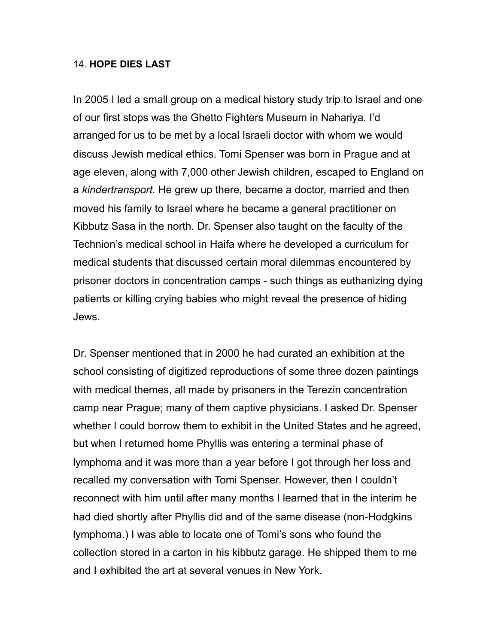#### 14. **HOPE DIES LAST**

In 2005 I led a small group on a medical history study trip to Israel and one of our first stops was the Ghetto Fighters Museum in Nahariya. I'd arranged for us to be met by a local Israeli doctor with whom we would discuss Jewish medical ethics. Tomi Spenser was born in Prague and at age eleven, along with 7,000 other Jewish children, escaped to England on a *kindertransport.* He grew up there*,* became a doctor, married and then moved his family to Israel where he became a general practitioner on Kibbutz Sasa in the north. Dr. Spenser also taught on the faculty of the Technion's medical school in Haifa where he developed a curriculum for medical students that discussed certain moral dilemmas encountered by prisoner doctors in concentration camps - such things as euthanizing dying patients or killing crying babies who might reveal the presence of hiding Jews.

Dr. Spenser mentioned that in 2000 he had curated an exhibition at the school consisting of digitized reproductions of some three dozen paintings with medical themes, all made by prisoners in the Terezin concentration camp near Prague; many of them captive physicians. I asked Dr. Spenser whether I could borrow them to exhibit in the United States and he agreed, but when I returned home Phyllis was entering a terminal phase of lymphoma and it was more than a year before I got through her loss and recalled my conversation with Tomi Spenser. However, then I couldn't reconnect with him until after many months I learned that in the interim he had died shortly after Phyllis did and of the same disease (non-Hodgkins lymphoma.) I was able to locate one of Tomi's sons who found the collection stored in a carton in his kibbutz garage. He shipped them to me and I exhibited the art at several venues in New York.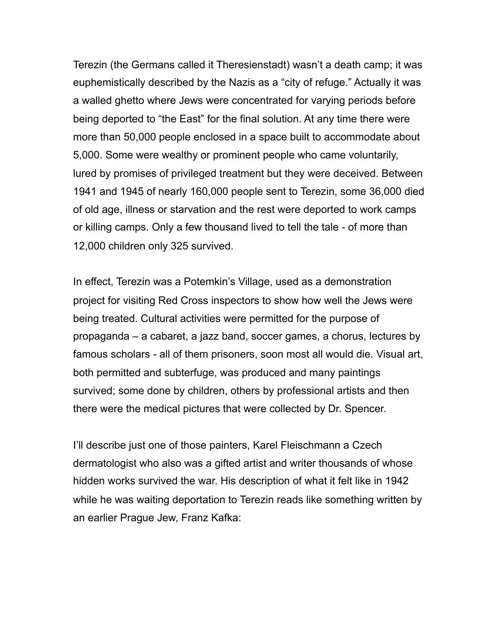Terezin (the Germans called it Theresienstadt) wasn't a death camp; it was euphemistically described by the Nazis as a "city of refuge." Actually it was a walled ghetto where Jews were concentrated for varying periods before being deported to "the East" for the final solution. At any time there were more than 50,000 people enclosed in a space built to accommodate about 5,000. Some were wealthy or prominent people who came voluntarily, lured by promises of privileged treatment but they were deceived. Between 1941 and 1945 of nearly 160,000 people sent to Terezin, some 36,000 died of old age, illness or starvation and the rest were deported to work camps or killing camps. Only a few thousand lived to tell the tale - of more than 12,000 children only 325 survived.

In effect, Terezin was a Potemkin's Village, used as a demonstration project for visiting Red Cross inspectors to show how well the Jews were being treated. Cultural activities were permitted for the purpose of propaganda – a cabaret, a jazz band, soccer games, a chorus, lectures by famous scholars - all of them prisoners, soon most all would die. Visual art, both permitted and subterfuge, was produced and many paintings survived; some done by children, others by professional artists and then there were the medical pictures that were collected by Dr. Spencer.

I'll describe just one of those painters, Karel Fleischmann a Czech dermatologist who also was a gifted artist and writer thousands of whose hidden works survived the war. His description of what it felt like in 1942 while he was waiting deportation to Terezin reads like something written by an earlier Prague Jew, Franz Kafka: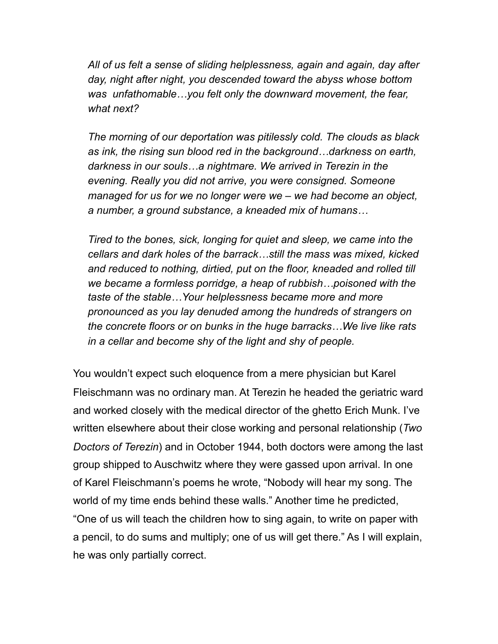*All of us felt a sense of sliding helplessness, again and again, day after day, night after night, you descended toward the abyss whose bottom was unfathomable…you felt only the downward movement, the fear, what next?*

 *The morning of our deportation was pitilessly cold. The clouds as black as ink, the rising sun blood red in the background…darkness on earth, darkness in our souls…a nightmare. We arrived in Terezin in the evening. Really you did not arrive, you were consigned. Someone managed for us for we no longer were we – we had become an object, a number, a ground substance, a kneaded mix of humans…*

 *Tired to the bones, sick, longing for quiet and sleep, we came into the cellars and dark holes of the barrack…still the mass was mixed, kicked and reduced to nothing, dirtied, put on the floor, kneaded and rolled till we became a formless porridge, a heap of rubbish…poisoned with the taste of the stable…Your helplessness became more and more pronounced as you lay denuded among the hundreds of strangers on the concrete floors or on bunks in the huge barracks…We live like rats in a cellar and become shy of the light and shy of people.* 

You wouldn't expect such eloquence from a mere physician but Karel Fleischmann was no ordinary man. At Terezin he headed the geriatric ward and worked closely with the medical director of the ghetto Erich Munk. I've written elsewhere about their close working and personal relationship (*Two Doctors of Terezin*) and in October 1944, both doctors were among the last group shipped to Auschwitz where they were gassed upon arrival. In one of Karel Fleischmann's poems he wrote, "Nobody will hear my song. The world of my time ends behind these walls." Another time he predicted, "One of us will teach the children how to sing again, to write on paper with a pencil, to do sums and multiply; one of us will get there." As I will explain, he was only partially correct.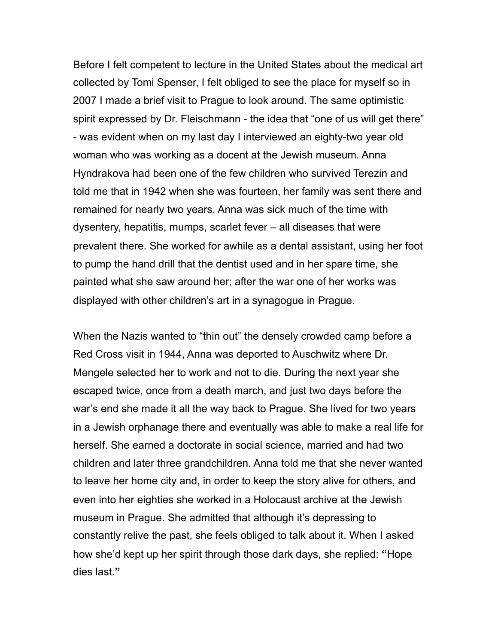Before I felt competent to lecture in the United States about the medical art collected by Tomi Spenser, I felt obliged to see the place for myself so in 2007 I made a brief visit to Prague to look around. The same optimistic spirit expressed by Dr. Fleischmann - the idea that "one of us will get there" - was evident when on my last day I interviewed an eighty-two year old woman who was working as a docent at the Jewish museum. Anna Hyndrakova had been one of the few children who survived Terezin and told me that in 1942 when she was fourteen, her family was sent there and remained for nearly two years. Anna was sick much of the time with dysentery, hepatitis, mumps, scarlet fever – all diseases that were prevalent there. She worked for awhile as a dental assistant, using her foot to pump the hand drill that the dentist used and in her spare time, she painted what she saw around her; after the war one of her works was displayed with other children's art in a synagogue in Prague.

When the Nazis wanted to "thin out" the densely crowded camp before a Red Cross visit in 1944, Anna was deported to Auschwitz where Dr. Mengele selected her to work and not to die. During the next year she escaped twice, once from a death march, and just two days before the war's end she made it all the way back to Prague. She lived for two years in a Jewish orphanage there and eventually was able to make a real life for herself. She earned a doctorate in social science, married and had two children and later three grandchildren. Anna told me that she never wanted to leave her home city and, in order to keep the story alive for others, and even into her eighties she worked in a Holocaust archive at the Jewish museum in Prague. She admitted that although it's depressing to constantly relive the past, she feels obliged to talk about it. When I asked how she'd kept up her spirit through those dark days, she replied: **"**Hope dies last*.***"**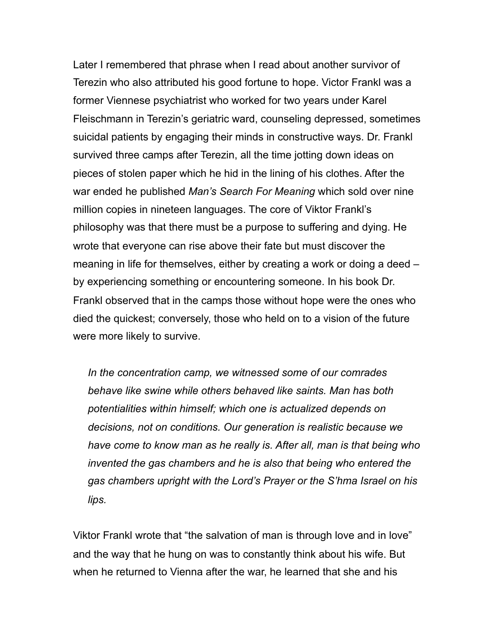Later I remembered that phrase when I read about another survivor of Terezin who also attributed his good fortune to hope. Victor Frankl was a former Viennese psychiatrist who worked for two years under Karel Fleischmann in Terezin's geriatric ward, counseling depressed, sometimes suicidal patients by engaging their minds in constructive ways. Dr. Frankl survived three camps after Terezin, all the time jotting down ideas on pieces of stolen paper which he hid in the lining of his clothes. After the war ended he published *Man's Search For Meaning* which sold over nine million copies in nineteen languages. The core of Viktor Frankl's philosophy was that there must be a purpose to suffering and dying. He wrote that everyone can rise above their fate but must discover the meaning in life for themselves, either by creating a work or doing a deed – by experiencing something or encountering someone. In his book Dr. Frankl observed that in the camps those without hope were the ones who died the quickest; conversely, those who held on to a vision of the future were more likely to survive.

 *In the concentration camp, we witnessed some of our comrades behave like swine while others behaved like saints. Man has both potentialities within himself; which one is actualized depends on decisions, not on conditions. Our generation is realistic because we have come to know man as he really is. After all, man is that being who invented the gas chambers and he is also that being who entered the gas chambers upright with the Lord's Prayer or the S'hma Israel on his lips.* 

Viktor Frankl wrote that "the salvation of man is through love and in love" and the way that he hung on was to constantly think about his wife. But when he returned to Vienna after the war, he learned that she and his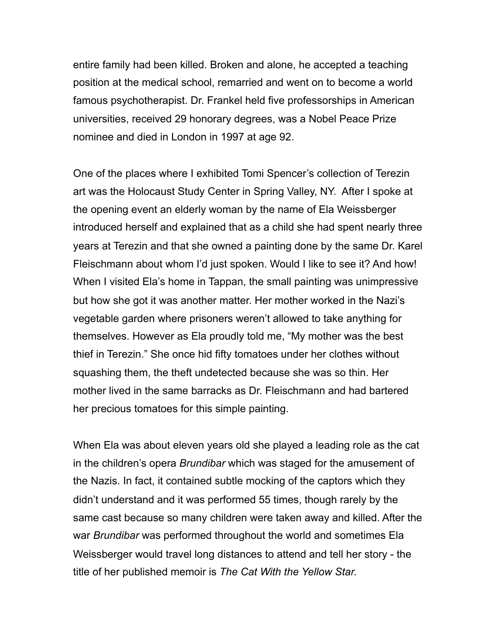entire family had been killed. Broken and alone, he accepted a teaching position at the medical school, remarried and went on to become a world famous psychotherapist. Dr. Frankel held five professorships in American universities, received 29 honorary degrees, was a Nobel Peace Prize nominee and died in London in 1997 at age 92.

One of the places where I exhibited Tomi Spencer's collection of Terezin art was the Holocaust Study Center in Spring Valley, NY. After I spoke at the opening event an elderly woman by the name of Ela Weissberger introduced herself and explained that as a child she had spent nearly three years at Terezin and that she owned a painting done by the same Dr. Karel Fleischmann about whom I'd just spoken. Would I like to see it? And how! When I visited Ela's home in Tappan, the small painting was unimpressive but how she got it was another matter. Her mother worked in the Nazi's vegetable garden where prisoners weren't allowed to take anything for themselves. However as Ela proudly told me, "My mother was the best thief in Terezin." She once hid fifty tomatoes under her clothes without squashing them, the theft undetected because she was so thin. Her mother lived in the same barracks as Dr. Fleischmann and had bartered her precious tomatoes for this simple painting.

When Ela was about eleven years old she played a leading role as the cat in the children's opera *Brundibar* which was staged for the amusement of the Nazis. In fact, it contained subtle mocking of the captors which they didn't understand and it was performed 55 times, though rarely by the same cast because so many children were taken away and killed. After the war *Brundibar* was performed throughout the world and sometimes Ela Weissberger would travel long distances to attend and tell her story - the title of her published memoir is *The Cat With the Yellow Star.*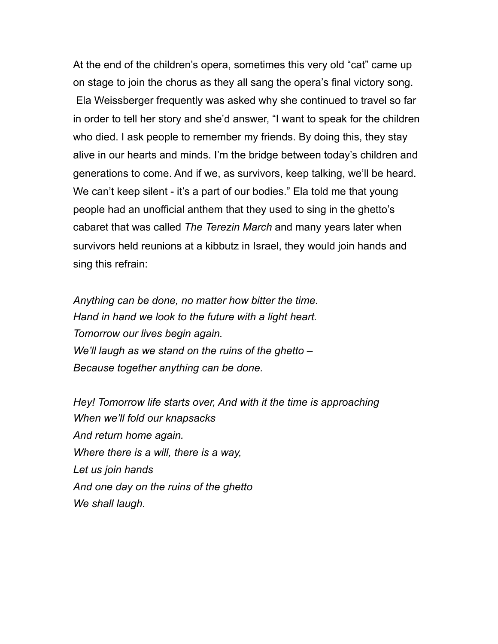At the end of the children's opera, sometimes this very old "cat" came up on stage to join the chorus as they all sang the opera's final victory song. Ela Weissberger frequently was asked why she continued to travel so far in order to tell her story and she'd answer, "I want to speak for the children who died. I ask people to remember my friends. By doing this, they stay alive in our hearts and minds. I'm the bridge between today's children and generations to come. And if we, as survivors, keep talking, we'll be heard. We can't keep silent - it's a part of our bodies." Ela told me that young people had an unofficial anthem that they used to sing in the ghetto's cabaret that was called *The Terezin March* and many years later when survivors held reunions at a kibbutz in Israel, they would join hands and sing this refrain:

*Anything can be done, no matter how bitter the time. Hand in hand we look to the future with a light heart. Tomorrow our lives begin again. We'll laugh as we stand on the ruins of the ghetto – Because together anything can be done.*

*Hey! Tomorrow life starts over, And with it the time is approaching When we'll fold our knapsacks And return home again. Where there is a will, there is a way, Let us join hands And one day on the ruins of the ghetto We shall laugh.*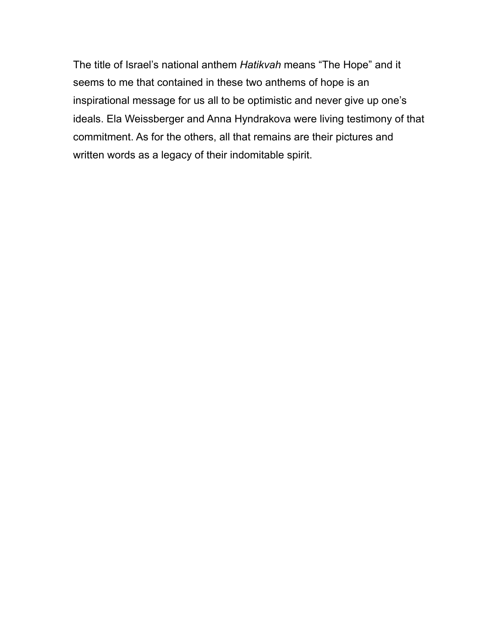The title of Israel's national anthem *Hatikvah* means "The Hope" and it seems to me that contained in these two anthems of hope is an inspirational message for us all to be optimistic and never give up one's ideals. Ela Weissberger and Anna Hyndrakova were living testimony of that commitment. As for the others, all that remains are their pictures and written words as a legacy of their indomitable spirit.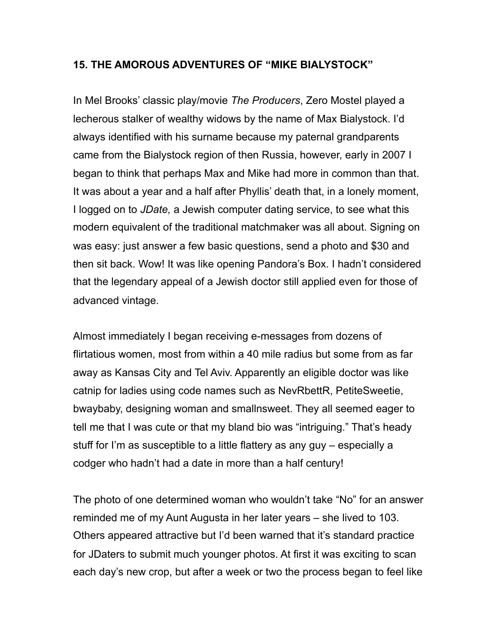# **15. THE AMOROUS ADVENTURES OF "MIKE BIALYSTOCK"**

In Mel Brooks' classic play/movie *The Producers*, Zero Mostel played a lecherous stalker of wealthy widows by the name of Max Bialystock. I'd always identified with his surname because my paternal grandparents came from the Bialystock region of then Russia, however, early in 2007 I began to think that perhaps Max and Mike had more in common than that. It was about a year and a half after Phyllis' death that, in a lonely moment, I logged on to *JDate,* a Jewish computer dating service, to see what this modern equivalent of the traditional matchmaker was all about. Signing on was easy: just answer a few basic questions, send a photo and \$30 and then sit back. Wow! It was like opening Pandora's Box. I hadn't considered that the legendary appeal of a Jewish doctor still applied even for those of advanced vintage.

Almost immediately I began receiving e-messages from dozens of flirtatious women, most from within a 40 mile radius but some from as far away as Kansas City and Tel Aviv. Apparently an eligible doctor was like catnip for ladies using code names such as NevRbettR, PetiteSweetie, bwaybaby, designing woman and smallnsweet. They all seemed eager to tell me that I was cute or that my bland bio was "intriguing." That's heady stuff for I'm as susceptible to a little flattery as any guy – especially a codger who hadn't had a date in more than a half century!

The photo of one determined woman who wouldn't take "No" for an answer reminded me of my Aunt Augusta in her later years – she lived to 103. Others appeared attractive but I'd been warned that it's standard practice for JDaters to submit much younger photos. At first it was exciting to scan each day's new crop, but after a week or two the process began to feel like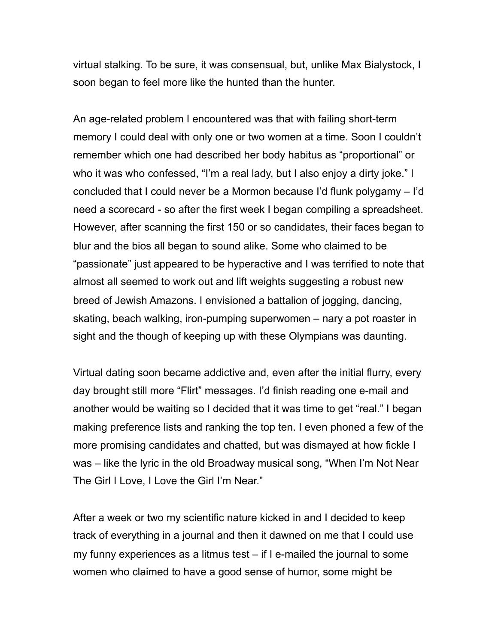virtual stalking. To be sure, it was consensual, but, unlike Max Bialystock, I soon began to feel more like the hunted than the hunter.

An age-related problem I encountered was that with failing short-term memory I could deal with only one or two women at a time. Soon I couldn't remember which one had described her body habitus as "proportional" or who it was who confessed, "I'm a real lady, but I also enjoy a dirty joke." I concluded that I could never be a Mormon because I'd flunk polygamy – I'd need a scorecard - so after the first week I began compiling a spreadsheet. However, after scanning the first 150 or so candidates, their faces began to blur and the bios all began to sound alike. Some who claimed to be "passionate" just appeared to be hyperactive and I was terrified to note that almost all seemed to work out and lift weights suggesting a robust new breed of Jewish Amazons. I envisioned a battalion of jogging, dancing, skating, beach walking, iron-pumping superwomen – nary a pot roaster in sight and the though of keeping up with these Olympians was daunting.

Virtual dating soon became addictive and, even after the initial flurry, every day brought still more "Flirt" messages. I'd finish reading one e-mail and another would be waiting so I decided that it was time to get "real." I began making preference lists and ranking the top ten. I even phoned a few of the more promising candidates and chatted, but was dismayed at how fickle I was – like the lyric in the old Broadway musical song, "When I'm Not Near The Girl I Love, I Love the Girl I'm Near."

After a week or two my scientific nature kicked in and I decided to keep track of everything in a journal and then it dawned on me that I could use my funny experiences as a litmus test – if I e-mailed the journal to some women who claimed to have a good sense of humor, some might be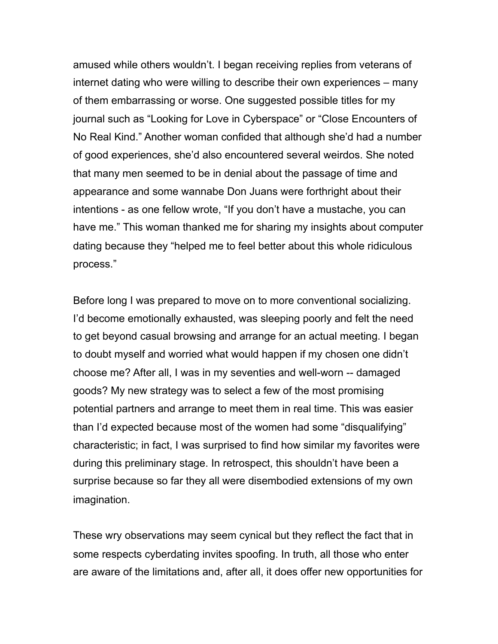amused while others wouldn't. I began receiving replies from veterans of internet dating who were willing to describe their own experiences – many of them embarrassing or worse. One suggested possible titles for my journal such as "Looking for Love in Cyberspace" or "Close Encounters of No Real Kind." Another woman confided that although she'd had a number of good experiences, she'd also encountered several weirdos. She noted that many men seemed to be in denial about the passage of time and appearance and some wannabe Don Juans were forthright about their intentions - as one fellow wrote, "If you don't have a mustache, you can have me." This woman thanked me for sharing my insights about computer dating because they "helped me to feel better about this whole ridiculous process."

Before long I was prepared to move on to more conventional socializing. I'd become emotionally exhausted, was sleeping poorly and felt the need to get beyond casual browsing and arrange for an actual meeting. I began to doubt myself and worried what would happen if my chosen one didn't choose me? After all, I was in my seventies and well-worn -- damaged goods? My new strategy was to select a few of the most promising potential partners and arrange to meet them in real time. This was easier than I'd expected because most of the women had some "disqualifying" characteristic; in fact, I was surprised to find how similar my favorites were during this preliminary stage. In retrospect, this shouldn't have been a surprise because so far they all were disembodied extensions of my own imagination.

These wry observations may seem cynical but they reflect the fact that in some respects cyberdating invites spoofing. In truth, all those who enter are aware of the limitations and, after all, it does offer new opportunities for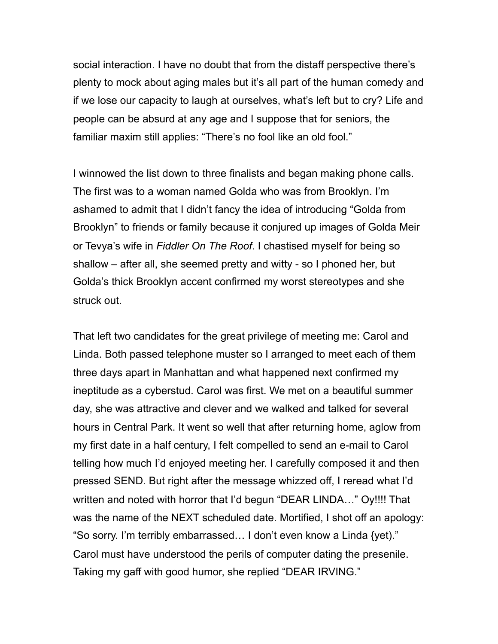social interaction. I have no doubt that from the distaff perspective there's plenty to mock about aging males but it's all part of the human comedy and if we lose our capacity to laugh at ourselves, what's left but to cry? Life and people can be absurd at any age and I suppose that for seniors, the familiar maxim still applies: "There's no fool like an old fool."

I winnowed the list down to three finalists and began making phone calls. The first was to a woman named Golda who was from Brooklyn. I'm ashamed to admit that I didn't fancy the idea of introducing "Golda from Brooklyn" to friends or family because it conjured up images of Golda Meir or Tevya's wife in *Fiddler On The Roof*. I chastised myself for being so shallow – after all, she seemed pretty and witty - so I phoned her, but Golda's thick Brooklyn accent confirmed my worst stereotypes and she struck out.

That left two candidates for the great privilege of meeting me: Carol and Linda. Both passed telephone muster so I arranged to meet each of them three days apart in Manhattan and what happened next confirmed my ineptitude as a cyberstud. Carol was first. We met on a beautiful summer day, she was attractive and clever and we walked and talked for several hours in Central Park. It went so well that after returning home, aglow from my first date in a half century, I felt compelled to send an e-mail to Carol telling how much I'd enjoyed meeting her. I carefully composed it and then pressed SEND. But right after the message whizzed off, I reread what I'd written and noted with horror that I'd begun "DEAR LINDA…" Oy!!!! That was the name of the NEXT scheduled date. Mortified, I shot off an apology: "So sorry. I'm terribly embarrassed… I don't even know a Linda {yet)." Carol must have understood the perils of computer dating the presenile. Taking my gaff with good humor, she replied "DEAR IRVING."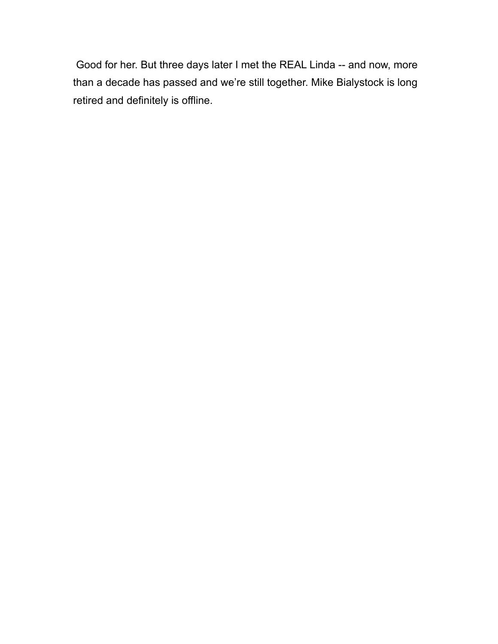Good for her. But three days later I met the REAL Linda -- and now, more than a decade has passed and we're still together. Mike Bialystock is long retired and definitely is offline.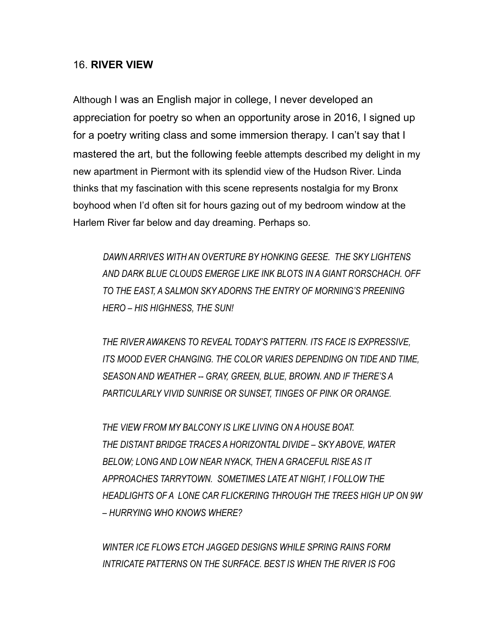### 16. **RIVER VIEW**

Although I was an English major in college, I never developed an appreciation for poetry so when an opportunity arose in 2016, I signed up for a poetry writing class and some immersion therapy. I can't say that I mastered the art, but the following feeble attempts described my delight in my new apartment in Piermont with its splendid view of the Hudson River. Linda thinks that my fascination with this scene represents nostalgia for my Bronx boyhood when I'd often sit for hours gazing out of my bedroom window at the Harlem River far below and day dreaming. Perhaps so.

 *DAWN ARRIVES WITH AN OVERTURE BY HONKING GEESE. THE SKY LIGHTENS AND DARK BLUE CLOUDS EMERGE LIKE INK BLOTS IN A GIANT RORSCHACH. OFF TO THE EAST, A SALMON SKY ADORNS THE ENTRY OF MORNING'S PREENING HERO – HIS HIGHNESS, THE SUN!*

 *THE RIVER AWAKENS TO REVEAL TODAY'S PATTERN. ITS FACE IS EXPRESSIVE, ITS MOOD EVER CHANGING. THE COLOR VARIES DEPENDING ON TIDE AND TIME, SEASON AND WEATHER -- GRAY, GREEN, BLUE, BROWN. AND IF THERE'S A PARTICULARLY VIVID SUNRISE OR SUNSET, TINGES OF PINK OR ORANGE.*

 *THE VIEW FROM MY BALCONY IS LIKE LIVING ON A HOUSE BOAT. THE DISTANT BRIDGE TRACES A HORIZONTAL DIVIDE – SKY ABOVE, WATER BELOW; LONG AND LOW NEAR NYACK, THEN A GRACEFUL RISE AS IT APPROACHES TARRYTOWN. SOMETIMES LATE AT NIGHT, I FOLLOW THE HEADLIGHTS OF A LONE CAR FLICKERING THROUGH THE TREES HIGH UP ON 9W – HURRYING WHO KNOWS WHERE?* 

 *WINTER ICE FLOWS ETCH JAGGED DESIGNS WHILE SPRING RAINS FORM INTRICATE PATTERNS ON THE SURFACE. BEST IS WHEN THE RIVER IS FOG*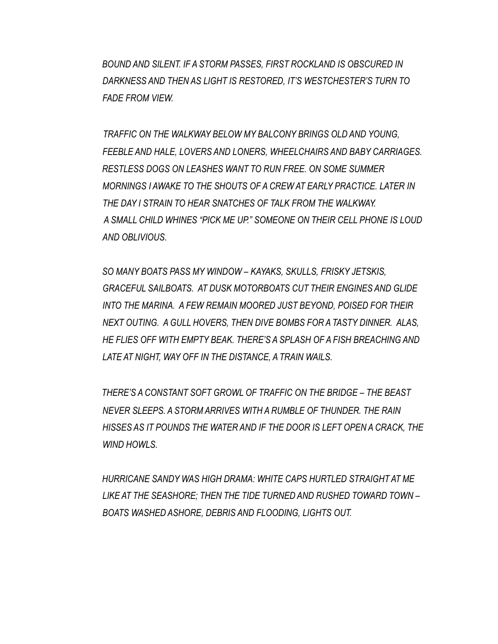*BOUND AND SILENT. IF A STORM PASSES, FIRST ROCKLAND IS OBSCURED IN DARKNESS AND THEN AS LIGHT IS RESTORED, IT'S WESTCHESTER'S TURN TO FADE FROM VIEW.* 

 *TRAFFIC ON THE WALKWAY BELOW MY BALCONY BRINGS OLD AND YOUNG, FEEBLE AND HALE, LOVERS AND LONERS, WHEELCHAIRS AND BABY CARRIAGES. RESTLESS DOGS ON LEASHES WANT TO RUN FREE. ON SOME SUMMER MORNINGS I AWAKE TO THE SHOUTS OF A CREW AT EARLY PRACTICE. LATER IN THE DAY I STRAIN TO HEAR SNATCHES OF TALK FROM THE WALKWAY. A SMALL CHILD WHINES "PICK ME UP." SOMEONE ON THEIR CELL PHONE IS LOUD AND OBLIVIOUS.*

 *SO MANY BOATS PASS MY WINDOW – KAYAKS, SKULLS, FRISKY JETSKIS, GRACEFUL SAILBOATS. AT DUSK MOTORBOATS CUT THEIR ENGINES AND GLIDE INTO THE MARINA. A FEW REMAIN MOORED JUST BEYOND, POISED FOR THEIR NEXT OUTING. A GULL HOVERS, THEN DIVE BOMBS FOR A TASTY DINNER. ALAS, HE FLIES OFF WITH EMPTY BEAK. THERE'S A SPLASH OF A FISH BREACHING AND LATE AT NIGHT, WAY OFF IN THE DISTANCE, A TRAIN WAILS.* 

 *THERE'S A CONSTANT SOFT GROWL OF TRAFFIC ON THE BRIDGE – THE BEAST NEVER SLEEPS. A STORM ARRIVES WITH A RUMBLE OF THUNDER. THE RAIN HISSES AS IT POUNDS THE WATER AND IF THE DOOR IS LEFT OPEN A CRACK, THE WIND HOWLS.* 

 *HURRICANE SANDY WAS HIGH DRAMA: WHITE CAPS HURTLED STRAIGHT AT ME LIKE AT THE SEASHORE; THEN THE TIDE TURNED AND RUSHED TOWARD TOWN – BOATS WASHED ASHORE, DEBRIS AND FLOODING, LIGHTS OUT.*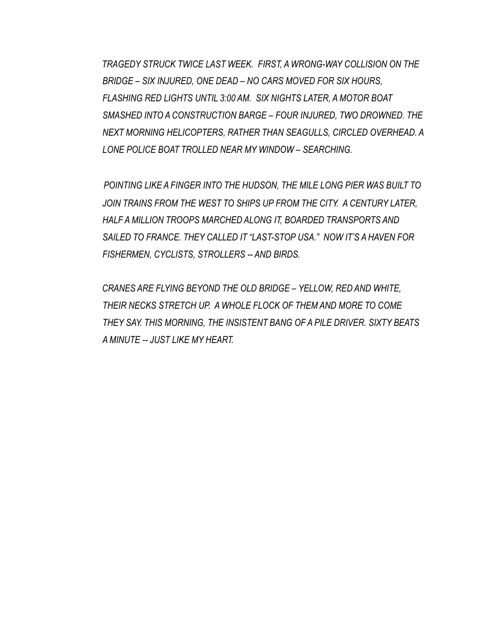*TRAGEDY STRUCK TWICE LAST WEEK. FIRST, A WRONG-WAY COLLISION ON THE BRIDGE – SIX INJURED, ONE DEAD – NO CARS MOVED FOR SIX HOURS, FLASHING RED LIGHTS UNTIL 3:00 AM. SIX NIGHTS LATER, A MOTOR BOAT SMASHED INTO A CONSTRUCTION BARGE – FOUR INJURED, TWO DROWNED. THE NEXT MORNING HELICOPTERS, RATHER THAN SEAGULLS, CIRCLED OVERHEAD. A LONE POLICE BOAT TROLLED NEAR MY WINDOW – SEARCHING.*

 *POINTING LIKE A FINGER INTO THE HUDSON, THE MILE LONG PIER WAS BUILT TO*  JOIN TRAINS FROM THE WEST TO SHIPS UP FROM THE CITY. A CENTURY LATER, *HALF A MILLION TROOPS MARCHED ALONG IT, BOARDED TRANSPORTS AND SAILED TO FRANCE. THEY CALLED IT "LAST-STOP USA." NOW IT'S A HAVEN FOR FISHERMEN, CYCLISTS, STROLLERS -- AND BIRDS.*

 *CRANES ARE FLYING BEYOND THE OLD BRIDGE – YELLOW, RED AND WHITE, THEIR NECKS STRETCH UP. A WHOLE FLOCK OF THEM AND MORE TO COME THEY SAY. THIS MORNING, THE INSISTENT BANG OF A PILE DRIVER. SIXTY BEATS A MINUTE -- JUST LIKE MY HEART.*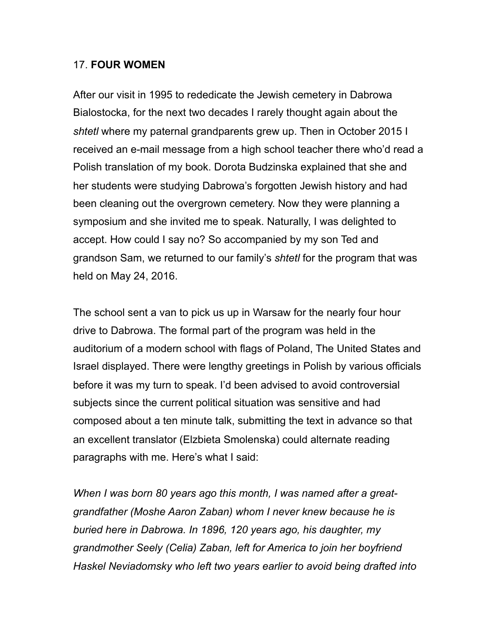## 17. **FOUR WOMEN**

After our visit in 1995 to rededicate the Jewish cemetery in Dabrowa Bialostocka, for the next two decades I rarely thought again about the *shtetl* where my paternal grandparents grew up. Then in October 2015 I received an e-mail message from a high school teacher there who'd read a Polish translation of my book. Dorota Budzinska explained that she and her students were studying Dabrowa's forgotten Jewish history and had been cleaning out the overgrown cemetery. Now they were planning a symposium and she invited me to speak. Naturally, I was delighted to accept. How could I say no? So accompanied by my son Ted and grandson Sam, we returned to our family's *shtetl* for the program that was held on May 24, 2016.

The school sent a van to pick us up in Warsaw for the nearly four hour drive to Dabrowa. The formal part of the program was held in the auditorium of a modern school with flags of Poland, The United States and Israel displayed. There were lengthy greetings in Polish by various officials before it was my turn to speak. I'd been advised to avoid controversial subjects since the current political situation was sensitive and had composed about a ten minute talk, submitting the text in advance so that an excellent translator (Elzbieta Smolenska) could alternate reading paragraphs with me. Here's what I said:

*When I was born 80 years ago this month, I was named after a greatgrandfather (Moshe Aaron Zaban) whom I never knew because he is buried here in Dabrowa. In 1896, 120 years ago, his daughter, my grandmother Seely (Celia) Zaban, left for America to join her boyfriend Haskel Neviadomsky who left two years earlier to avoid being drafted into*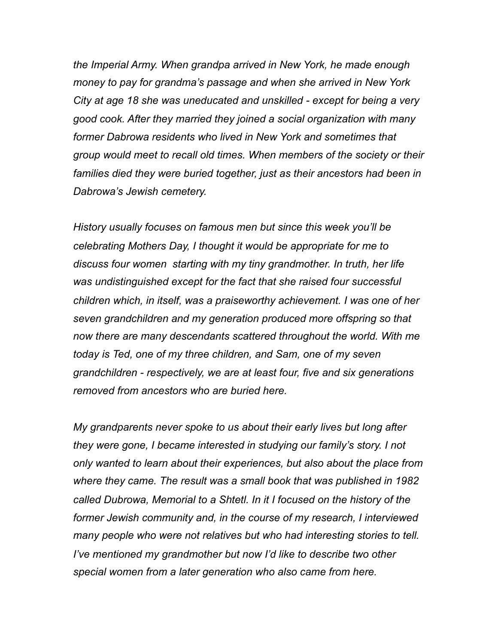*the Imperial Army. When grandpa arrived in New York, he made enough money to pay for grandma's passage and when she arrived in New York City at age 18 she was uneducated and unskilled - except for being a very good cook. After they married they joined a social organization with many former Dabrowa residents who lived in New York and sometimes that group would meet to recall old times. When members of the society or their families died they were buried together, just as their ancestors had been in Dabrowa's Jewish cemetery.* 

*History usually focuses on famous men but since this week you'll be celebrating Mothers Day, I thought it would be appropriate for me to discuss four women starting with my tiny grandmother. In truth, her life was undistinguished except for the fact that she raised four successful children which, in itself, was a praiseworthy achievement. I was one of her seven grandchildren and my generation produced more offspring so that now there are many descendants scattered throughout the world. With me today is Ted, one of my three children, and Sam, one of my seven grandchildren - respectively, we are at least four, five and six generations removed from ancestors who are buried here.* 

*My grandparents never spoke to us about their early lives but long after they were gone, I became interested in studying our family's story. I not only wanted to learn about their experiences, but also about the place from where they came. The result was a small book that was published in 1982 called Dubrowa, Memorial to a Shtetl. In it I focused on the history of the former Jewish community and, in the course of my research, I interviewed many people who were not relatives but who had interesting stories to tell. I've mentioned my grandmother but now I'd like to describe two other special women from a later generation who also came from here.*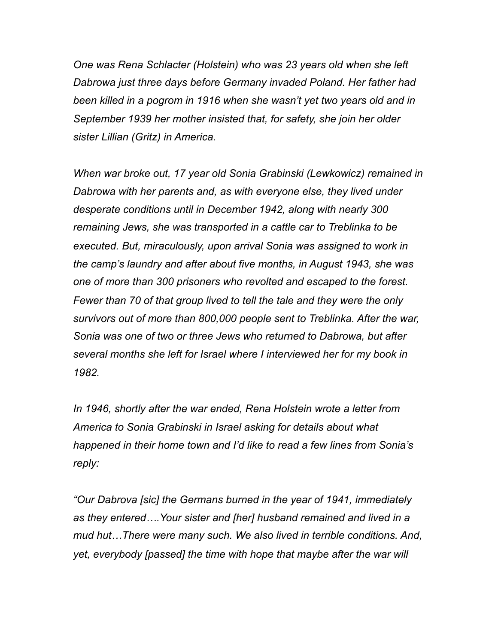*One was Rena Schlacter (Holstein) who was 23 years old when she left Dabrowa just three days before Germany invaded Poland. Her father had been killed in a pogrom in 1916 when she wasn't yet two years old and in September 1939 her mother insisted that, for safety, she join her older sister Lillian (Gritz) in America.* 

*When war broke out, 17 year old Sonia Grabinski (Lewkowicz) remained in Dabrowa with her parents and, as with everyone else, they lived under desperate conditions until in December 1942, along with nearly 300 remaining Jews, she was transported in a cattle car to Treblinka to be executed. But, miraculously, upon arrival Sonia was assigned to work in the camp's laundry and after about five months, in August 1943, she was one of more than 300 prisoners who revolted and escaped to the forest. Fewer than 70 of that group lived to tell the tale and they were the only survivors out of more than 800,000 people sent to Treblinka. After the war, Sonia was one of two or three Jews who returned to Dabrowa, but after several months she left for Israel where I interviewed her for my book in 1982.* 

*In 1946, shortly after the war ended, Rena Holstein wrote a letter from America to Sonia Grabinski in Israel asking for details about what happened in their home town and I'd like to read a few lines from Sonia's reply:* 

*"Our Dabrova [sic] the Germans burned in the year of 1941, immediately as they entered….Your sister and [her] husband remained and lived in a mud hut…There were many such. We also lived in terrible conditions. And, yet, everybody [passed] the time with hope that maybe after the war will*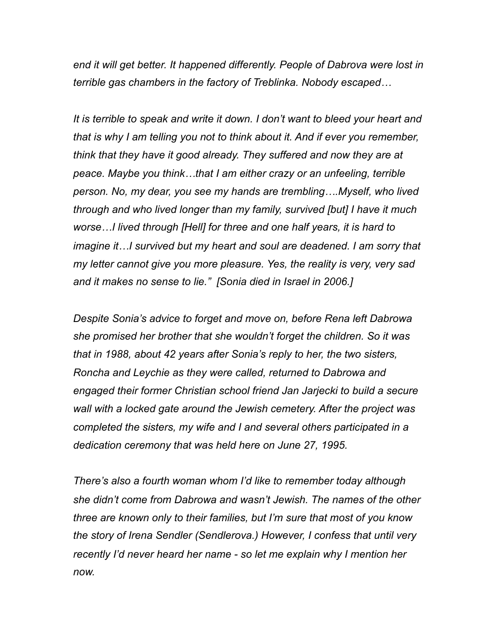*end it will get better. It happened differently. People of Dabrova were lost in terrible gas chambers in the factory of Treblinka. Nobody escaped…*

*It is terrible to speak and write it down. I don't want to bleed your heart and that is why I am telling you not to think about it. And if ever you remember, think that they have it good already. They suffered and now they are at peace. Maybe you think…that I am either crazy or an unfeeling, terrible person. No, my dear, you see my hands are trembling….Myself, who lived through and who lived longer than my family, survived [but] I have it much worse…I lived through [Hell] for three and one half years, it is hard to imagine it…I survived but my heart and soul are deadened. I am sorry that my letter cannot give you more pleasure. Yes, the reality is very, very sad and it makes no sense to lie." [Sonia died in Israel in 2006.]* 

*Despite Sonia's advice to forget and move on, before Rena left Dabrowa she promised her brother that she wouldn't forget the children. So it was that in 1988, about 42 years after Sonia's reply to her, the two sisters, Roncha and Leychie as they were called, returned to Dabrowa and engaged their former Christian school friend Jan Jarjecki to build a secure wall with a locked gate around the Jewish cemetery. After the project was completed the sisters, my wife and I and several others participated in a dedication ceremony that was held here on June 27, 1995.* 

*There's also a fourth woman whom I'd like to remember today although she didn't come from Dabrowa and wasn't Jewish. The names of the other three are known only to their families, but I'm sure that most of you know the story of Irena Sendler (Sendlerova.) However, I confess that until very recently I'd never heard her name - so let me explain why I mention her now.*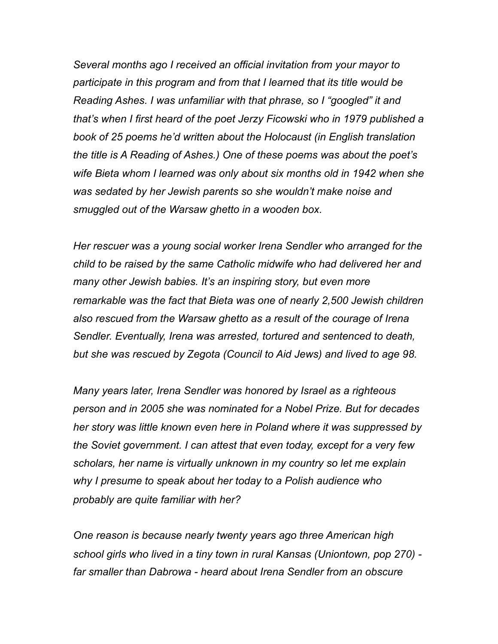*Several months ago I received an official invitation from your mayor to participate in this program and from that I learned that its title would be Reading Ashes. I was unfamiliar with that phrase, so I "googled" it and that's when I first heard of the poet Jerzy Ficowski who in 1979 published a book of 25 poems he'd written about the Holocaust (in English translation the title is A Reading of Ashes.) One of these poems was about the poet's wife Bieta whom I learned was only about six months old in 1942 when she was sedated by her Jewish parents so she wouldn't make noise and smuggled out of the Warsaw ghetto in a wooden box.* 

*Her rescuer was a young social worker Irena Sendler who arranged for the child to be raised by the same Catholic midwife who had delivered her and many other Jewish babies. It's an inspiring story, but even more remarkable was the fact that Bieta was one of nearly 2,500 Jewish children also rescued from the Warsaw ghetto as a result of the courage of Irena Sendler. Eventually, Irena was arrested, tortured and sentenced to death, but she was rescued by Zegota (Council to Aid Jews) and lived to age 98.* 

*Many years later, Irena Sendler was honored by Israel as a righteous person and in 2005 she was nominated for a Nobel Prize. But for decades her story was little known even here in Poland where it was suppressed by the Soviet government. I can attest that even today, except for a very few scholars, her name is virtually unknown in my country so let me explain why I presume to speak about her today to a Polish audience who probably are quite familiar with her?* 

*One reason is because nearly twenty years ago three American high school girls who lived in a tiny town in rural Kansas (Uniontown, pop 270) far smaller than Dabrowa - heard about Irena Sendler from an obscure*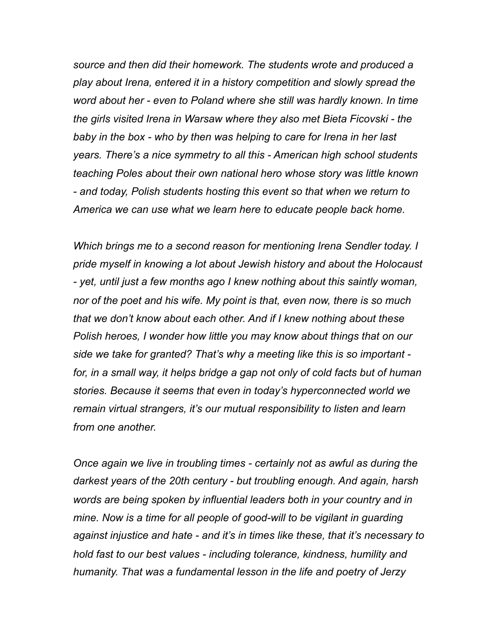*source and then did their homework. The students wrote and produced a play about Irena, entered it in a history competition and slowly spread the word about her - even to Poland where she still was hardly known. In time the girls visited Irena in Warsaw where they also met Bieta Ficovski - the baby in the box - who by then was helping to care for Irena in her last years. There's a nice symmetry to all this - American high school students teaching Poles about their own national hero whose story was little known - and today, Polish students hosting this event so that when we return to America we can use what we learn here to educate people back home.* 

*Which brings me to a second reason for mentioning Irena Sendler today. I pride myself in knowing a lot about Jewish history and about the Holocaust - yet, until just a few months ago I knew nothing about this saintly woman, nor of the poet and his wife. My point is that, even now, there is so much that we don't know about each other. And if I knew nothing about these Polish heroes, I wonder how little you may know about things that on our side we take for granted? That's why a meeting like this is so important*  for, in a small way, it helps bridge a gap not only of cold facts but of human *stories. Because it seems that even in today's hyperconnected world we remain virtual strangers, it's our mutual responsibility to listen and learn from one another.* 

*Once again we live in troubling times - certainly not as awful as during the darkest years of the 20th century - but troubling enough. And again, harsh words are being spoken by influential leaders both in your country and in mine. Now is a time for all people of good-will to be vigilant in guarding against injustice and hate - and it's in times like these, that it's necessary to hold fast to our best values - including tolerance, kindness, humility and humanity. That was a fundamental lesson in the life and poetry of Jerzy*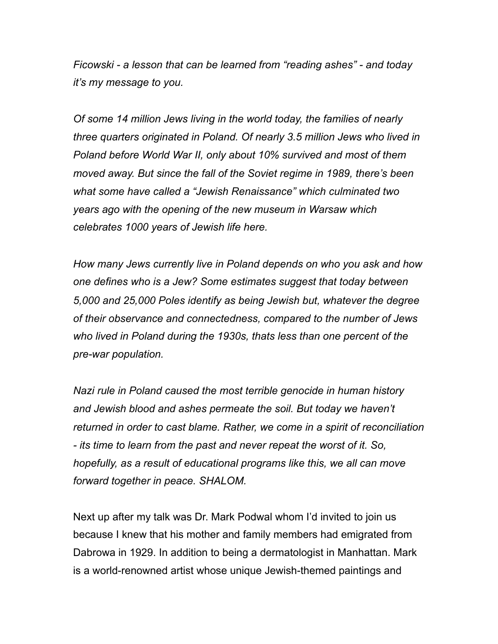*Ficowski - a lesson that can be learned from "reading ashes" - and today it's my message to you.* 

*Of some 14 million Jews living in the world today, the families of nearly three quarters originated in Poland. Of nearly 3.5 million Jews who lived in Poland before World War II, only about 10% survived and most of them moved away. But since the fall of the Soviet regime in 1989, there's been what some have called a "Jewish Renaissance" which culminated two years ago with the opening of the new museum in Warsaw which celebrates 1000 years of Jewish life here.* 

*How many Jews currently live in Poland depends on who you ask and how one defines who is a Jew? Some estimates suggest that today between 5,000 and 25,000 Poles identify as being Jewish but, whatever the degree of their observance and connectedness, compared to the number of Jews who lived in Poland during the 1930s, thats less than one percent of the pre-war population.* 

*Nazi rule in Poland caused the most terrible genocide in human history and Jewish blood and ashes permeate the soil. But today we haven't returned in order to cast blame. Rather, we come in a spirit of reconciliation - its time to learn from the past and never repeat the worst of it. So, hopefully, as a result of educational programs like this, we all can move forward together in peace. SHALOM.* 

Next up after my talk was Dr. Mark Podwal whom I'd invited to join us because I knew that his mother and family members had emigrated from Dabrowa in 1929. In addition to being a dermatologist in Manhattan. Mark is a world-renowned artist whose unique Jewish-themed paintings and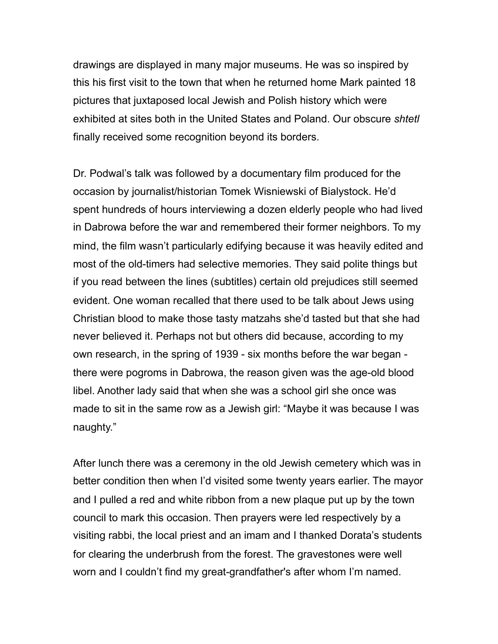drawings are displayed in many major museums. He was so inspired by this his first visit to the town that when he returned home Mark painted 18 pictures that juxtaposed local Jewish and Polish history which were exhibited at sites both in the United States and Poland. Our obscure *shtetl*  finally received some recognition beyond its borders.

Dr. Podwal's talk was followed by a documentary film produced for the occasion by journalist/historian Tomek Wisniewski of Bialystock. He'd spent hundreds of hours interviewing a dozen elderly people who had lived in Dabrowa before the war and remembered their former neighbors. To my mind, the film wasn't particularly edifying because it was heavily edited and most of the old-timers had selective memories. They said polite things but if you read between the lines (subtitles) certain old prejudices still seemed evident. One woman recalled that there used to be talk about Jews using Christian blood to make those tasty matzahs she'd tasted but that she had never believed it. Perhaps not but others did because, according to my own research, in the spring of 1939 - six months before the war began there were pogroms in Dabrowa, the reason given was the age-old blood libel. Another lady said that when she was a school girl she once was made to sit in the same row as a Jewish girl: "Maybe it was because I was naughty."

After lunch there was a ceremony in the old Jewish cemetery which was in better condition then when I'd visited some twenty years earlier. The mayor and I pulled a red and white ribbon from a new plaque put up by the town council to mark this occasion. Then prayers were led respectively by a visiting rabbi, the local priest and an imam and I thanked Dorata's students for clearing the underbrush from the forest. The gravestones were well worn and I couldn't find my great-grandfather's after whom I'm named.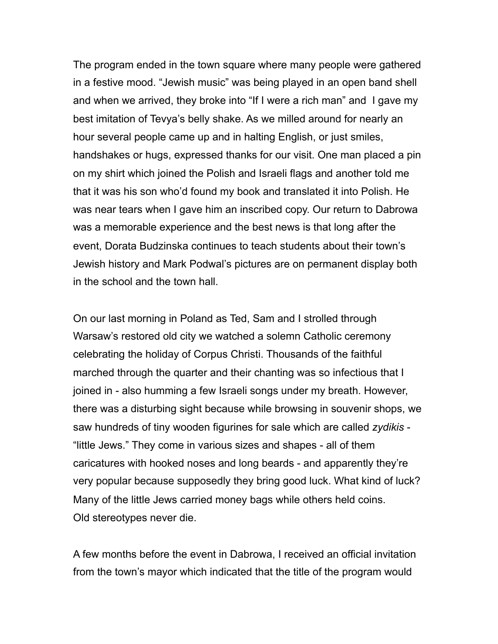The program ended in the town square where many people were gathered in a festive mood. "Jewish music" was being played in an open band shell and when we arrived, they broke into "If I were a rich man" and I gave my best imitation of Tevya's belly shake. As we milled around for nearly an hour several people came up and in halting English, or just smiles, handshakes or hugs, expressed thanks for our visit. One man placed a pin on my shirt which joined the Polish and Israeli flags and another told me that it was his son who'd found my book and translated it into Polish. He was near tears when I gave him an inscribed copy. Our return to Dabrowa was a memorable experience and the best news is that long after the event, Dorata Budzinska continues to teach students about their town's Jewish history and Mark Podwal's pictures are on permanent display both in the school and the town hall.

On our last morning in Poland as Ted, Sam and I strolled through Warsaw's restored old city we watched a solemn Catholic ceremony celebrating the holiday of Corpus Christi. Thousands of the faithful marched through the quarter and their chanting was so infectious that I joined in - also humming a few Israeli songs under my breath. However, there was a disturbing sight because while browsing in souvenir shops, we saw hundreds of tiny wooden figurines for sale which are called *zydikis* - "little Jews." They come in various sizes and shapes - all of them caricatures with hooked noses and long beards - and apparently they're very popular because supposedly they bring good luck. What kind of luck? Many of the little Jews carried money bags while others held coins. Old stereotypes never die.

A few months before the event in Dabrowa, I received an official invitation from the town's mayor which indicated that the title of the program would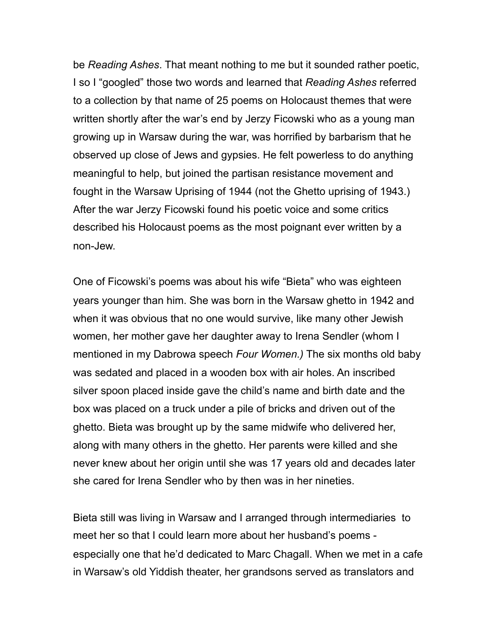be *Reading Ashes*. That meant nothing to me but it sounded rather poetic, I so I "googled" those two words and learned that *Reading Ashes* referred to a collection by that name of 25 poems on Holocaust themes that were written shortly after the war's end by Jerzy Ficowski who as a young man growing up in Warsaw during the war, was horrified by barbarism that he observed up close of Jews and gypsies. He felt powerless to do anything meaningful to help, but joined the partisan resistance movement and fought in the Warsaw Uprising of 1944 (not the Ghetto uprising of 1943.) After the war Jerzy Ficowski found his poetic voice and some critics described his Holocaust poems as the most poignant ever written by a non-Jew.

One of Ficowski's poems was about his wife "Bieta" who was eighteen years younger than him. She was born in the Warsaw ghetto in 1942 and when it was obvious that no one would survive, like many other Jewish women, her mother gave her daughter away to Irena Sendler (whom I mentioned in my Dabrowa speech *Four Women.)* The six months old baby was sedated and placed in a wooden box with air holes. An inscribed silver spoon placed inside gave the child's name and birth date and the box was placed on a truck under a pile of bricks and driven out of the ghetto. Bieta was brought up by the same midwife who delivered her, along with many others in the ghetto. Her parents were killed and she never knew about her origin until she was 17 years old and decades later she cared for Irena Sendler who by then was in her nineties.

Bieta still was living in Warsaw and I arranged through intermediaries to meet her so that I could learn more about her husband's poems especially one that he'd dedicated to Marc Chagall. When we met in a cafe in Warsaw's old Yiddish theater, her grandsons served as translators and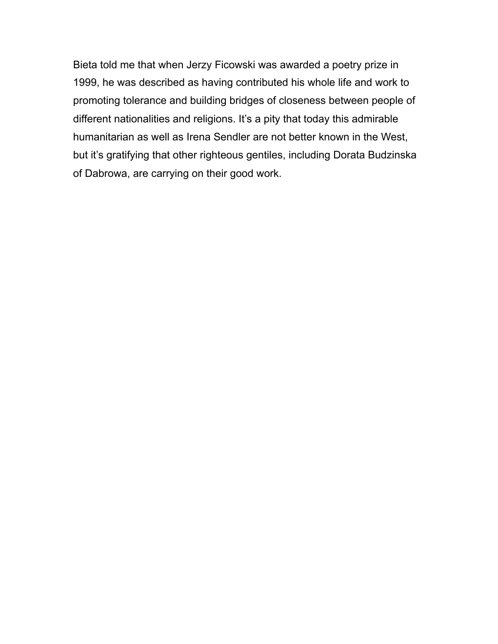Bieta told me that when Jerzy Ficowski was awarded a poetry prize in 1999, he was described as having contributed his whole life and work to promoting tolerance and building bridges of closeness between people of different nationalities and religions. It's a pity that today this admirable humanitarian as well as Irena Sendler are not better known in the West, but it's gratifying that other righteous gentiles, including Dorata Budzinska of Dabrowa, are carrying on their good work.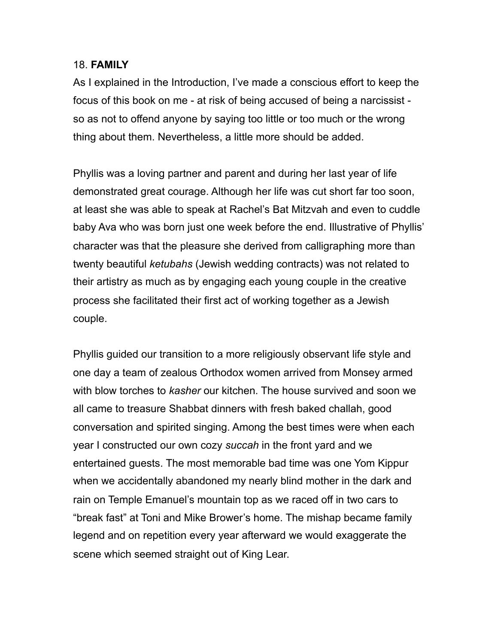## 18. **FAMILY**

As I explained in the Introduction, I've made a conscious effort to keep the focus of this book on me - at risk of being accused of being a narcissist so as not to offend anyone by saying too little or too much or the wrong thing about them. Nevertheless, a little more should be added.

Phyllis was a loving partner and parent and during her last year of life demonstrated great courage. Although her life was cut short far too soon, at least she was able to speak at Rachel's Bat Mitzvah and even to cuddle baby Ava who was born just one week before the end. Illustrative of Phyllis' character was that the pleasure she derived from calligraphing more than twenty beautiful *ketubahs* (Jewish wedding contracts) was not related to their artistry as much as by engaging each young couple in the creative process she facilitated their first act of working together as a Jewish couple.

Phyllis guided our transition to a more religiously observant life style and one day a team of zealous Orthodox women arrived from Monsey armed with blow torches to *kasher* our kitchen. The house survived and soon we all came to treasure Shabbat dinners with fresh baked challah, good conversation and spirited singing. Among the best times were when each year I constructed our own cozy *succah* in the front yard and we entertained guests. The most memorable bad time was one Yom Kippur when we accidentally abandoned my nearly blind mother in the dark and rain on Temple Emanuel's mountain top as we raced off in two cars to "break fast" at Toni and Mike Brower's home. The mishap became family legend and on repetition every year afterward we would exaggerate the scene which seemed straight out of King Lear.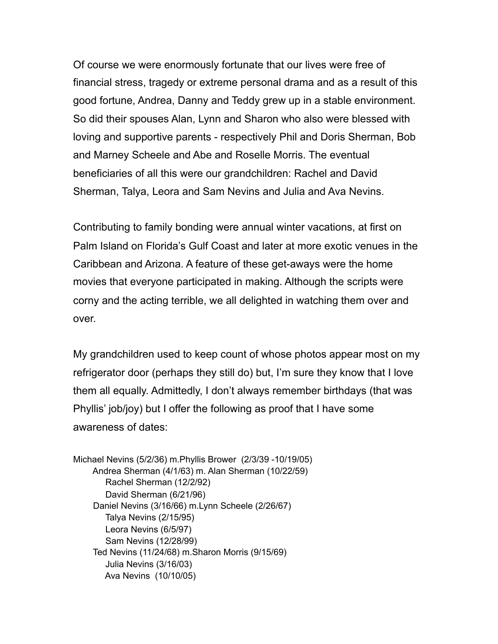Of course we were enormously fortunate that our lives were free of financial stress, tragedy or extreme personal drama and as a result of this good fortune, Andrea, Danny and Teddy grew up in a stable environment. So did their spouses Alan, Lynn and Sharon who also were blessed with loving and supportive parents - respectively Phil and Doris Sherman, Bob and Marney Scheele and Abe and Roselle Morris. The eventual beneficiaries of all this were our grandchildren: Rachel and David Sherman, Talya, Leora and Sam Nevins and Julia and Ava Nevins.

Contributing to family bonding were annual winter vacations, at first on Palm Island on Florida's Gulf Coast and later at more exotic venues in the Caribbean and Arizona. A feature of these get-aways were the home movies that everyone participated in making. Although the scripts were corny and the acting terrible, we all delighted in watching them over and over.

My grandchildren used to keep count of whose photos appear most on my refrigerator door (perhaps they still do) but, I'm sure they know that I love them all equally. Admittedly, I don't always remember birthdays (that was Phyllis' job/joy) but I offer the following as proof that I have some awareness of dates:

Michael Nevins (5/2/36) m.Phyllis Brower (2/3/39 -10/19/05) Andrea Sherman (4/1/63) m. Alan Sherman (10/22/59) Rachel Sherman (12/2/92) David Sherman (6/21/96) Daniel Nevins (3/16/66) m.Lynn Scheele (2/26/67) Talya Nevins (2/15/95) Leora Nevins (6/5/97) Sam Nevins (12/28/99) Ted Nevins (11/24/68) m.Sharon Morris (9/15/69) Julia Nevins (3/16/03) Ava Nevins (10/10/05)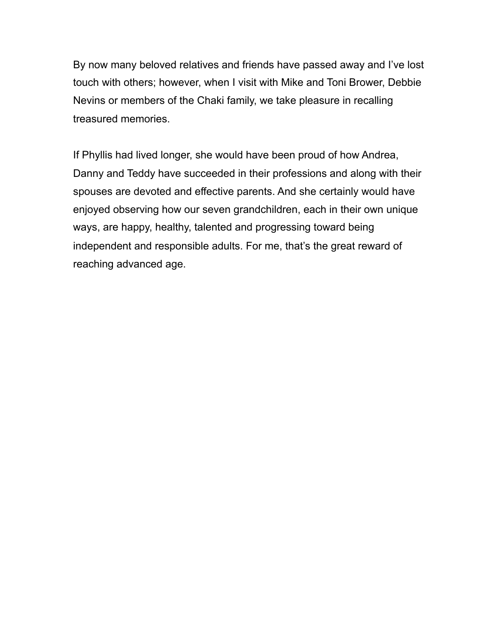By now many beloved relatives and friends have passed away and I've lost touch with others; however, when I visit with Mike and Toni Brower, Debbie Nevins or members of the Chaki family, we take pleasure in recalling treasured memories.

If Phyllis had lived longer, she would have been proud of how Andrea, Danny and Teddy have succeeded in their professions and along with their spouses are devoted and effective parents. And she certainly would have enjoyed observing how our seven grandchildren, each in their own unique ways, are happy, healthy, talented and progressing toward being independent and responsible adults. For me, that's the great reward of reaching advanced age.